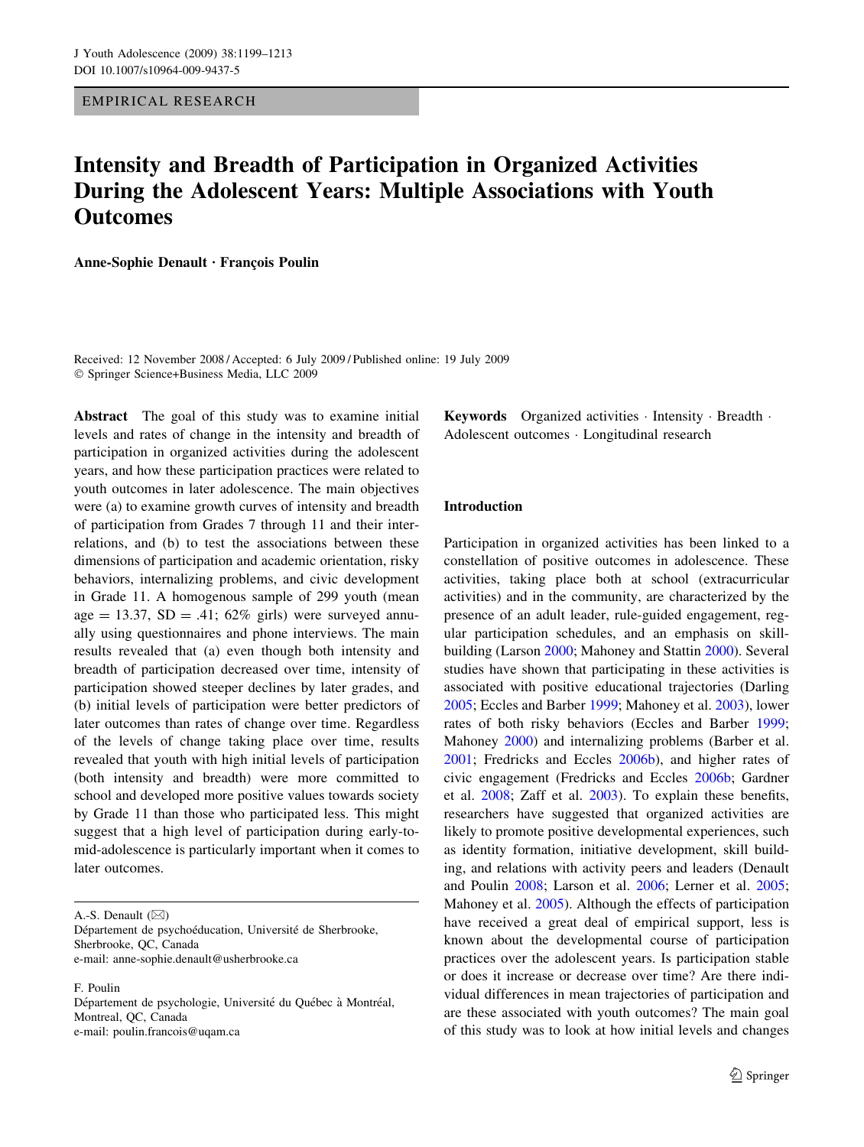EMPIRICAL RESEARCH

# Intensity and Breadth of Participation in Organized Activities During the Adolescent Years: Multiple Associations with Youth **Outcomes**

Anne-Sophie Denault · François Poulin

Received: 12 November 2008 / Accepted: 6 July 2009 / Published online: 19 July 2009 Springer Science+Business Media, LLC 2009

Abstract The goal of this study was to examine initial levels and rates of change in the intensity and breadth of participation in organized activities during the adolescent years, and how these participation practices were related to youth outcomes in later adolescence. The main objectives were (a) to examine growth curves of intensity and breadth of participation from Grades 7 through 11 and their interrelations, and (b) to test the associations between these dimensions of participation and academic orientation, risky behaviors, internalizing problems, and civic development in Grade 11. A homogenous sample of 299 youth (mean age  $= 13.37$ , SD  $= .41$ ; 62% girls) were surveyed annually using questionnaires and phone interviews. The main results revealed that (a) even though both intensity and breadth of participation decreased over time, intensity of participation showed steeper declines by later grades, and (b) initial levels of participation were better predictors of later outcomes than rates of change over time. Regardless of the levels of change taking place over time, results revealed that youth with high initial levels of participation (both intensity and breadth) were more committed to school and developed more positive values towards society by Grade 11 than those who participated less. This might suggest that a high level of participation during early-tomid-adolescence is particularly important when it comes to later outcomes.

A.-S. Denault  $(\boxtimes)$ 

Département de psychoéducation, Université de Sherbrooke, Sherbrooke, QC, Canada e-mail: anne-sophie.denault@usherbrooke.ca

F. Poulin

Département de psychologie, Université du Québec à Montréal, Montreal, QC, Canada e-mail: poulin.francois@uqam.ca

**Keywords** Organized activities  $\cdot$  Intensity  $\cdot$  Breadth  $\cdot$ Adolescent outcomes · Longitudinal research

## Introduction

Participation in organized activities has been linked to a constellation of positive outcomes in adolescence. These activities, taking place both at school (extracurricular activities) and in the community, are characterized by the presence of an adult leader, rule-guided engagement, regular participation schedules, and an emphasis on skillbuilding (Larson [2000](#page-14-0); Mahoney and Stattin [2000\)](#page-14-0). Several studies have shown that participating in these activities is associated with positive educational trajectories (Darling [2005](#page-13-0); Eccles and Barber [1999](#page-14-0); Mahoney et al. [2003](#page-14-0)), lower rates of both risky behaviors (Eccles and Barber [1999](#page-14-0); Mahoney [2000\)](#page-14-0) and internalizing problems (Barber et al. [2001](#page-13-0); Fredricks and Eccles [2006b\)](#page-14-0), and higher rates of civic engagement (Fredricks and Eccles [2006b](#page-14-0); Gardner et al. [2008;](#page-14-0) Zaff et al. [2003](#page-14-0)). To explain these benefits, researchers have suggested that organized activities are likely to promote positive developmental experiences, such as identity formation, initiative development, skill building, and relations with activity peers and leaders (Denault and Poulin [2008;](#page-13-0) Larson et al. [2006;](#page-14-0) Lerner et al. [2005](#page-14-0); Mahoney et al. [2005](#page-14-0)). Although the effects of participation have received a great deal of empirical support, less is known about the developmental course of participation practices over the adolescent years. Is participation stable or does it increase or decrease over time? Are there individual differences in mean trajectories of participation and are these associated with youth outcomes? The main goal of this study was to look at how initial levels and changes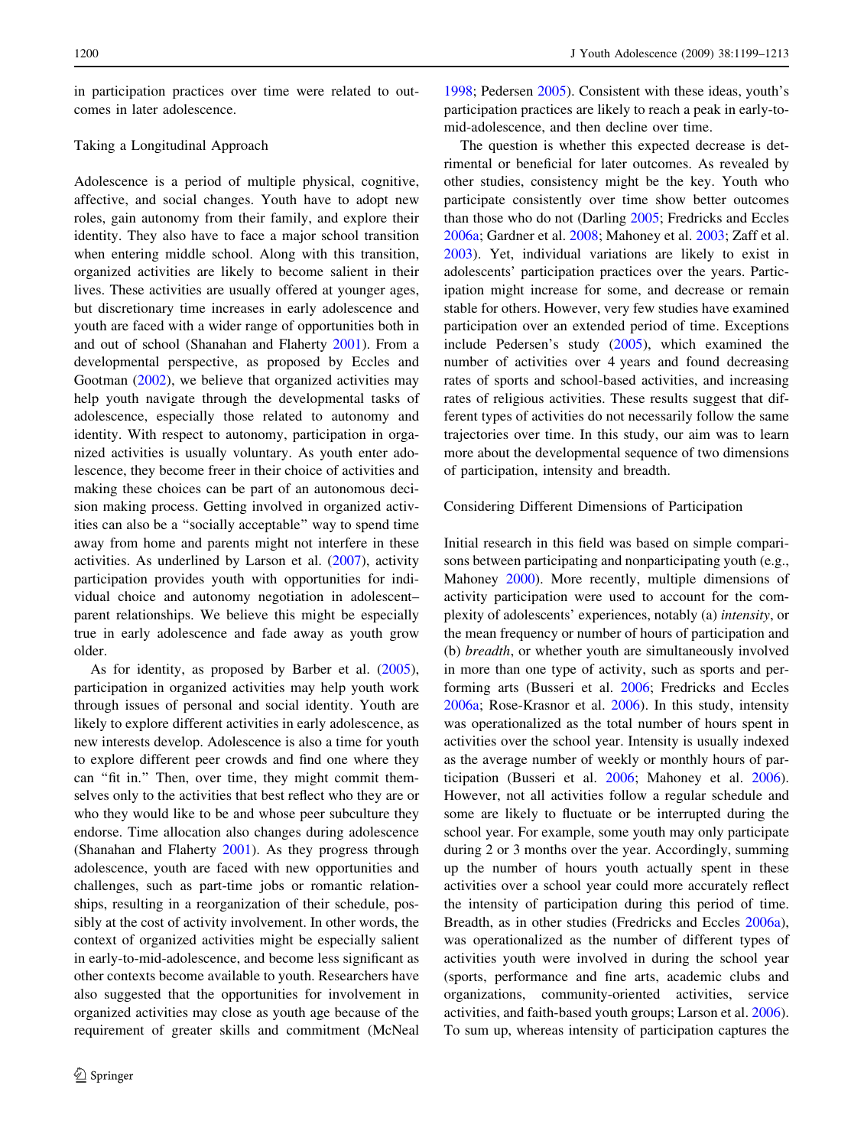in participation practices over time were related to outcomes in later adolescence.

# Taking a Longitudinal Approach

Adolescence is a period of multiple physical, cognitive, affective, and social changes. Youth have to adopt new roles, gain autonomy from their family, and explore their identity. They also have to face a major school transition when entering middle school. Along with this transition, organized activities are likely to become salient in their lives. These activities are usually offered at younger ages, but discretionary time increases in early adolescence and youth are faced with a wider range of opportunities both in and out of school (Shanahan and Flaherty [2001\)](#page-14-0). From a developmental perspective, as proposed by Eccles and Gootman ([2002\)](#page-14-0), we believe that organized activities may help youth navigate through the developmental tasks of adolescence, especially those related to autonomy and identity. With respect to autonomy, participation in organized activities is usually voluntary. As youth enter adolescence, they become freer in their choice of activities and making these choices can be part of an autonomous decision making process. Getting involved in organized activities can also be a ''socially acceptable'' way to spend time away from home and parents might not interfere in these activities. As underlined by Larson et al. [\(2007](#page-14-0)), activity participation provides youth with opportunities for individual choice and autonomy negotiation in adolescent– parent relationships. We believe this might be especially true in early adolescence and fade away as youth grow older.

As for identity, as proposed by Barber et al. [\(2005](#page-13-0)), participation in organized activities may help youth work through issues of personal and social identity. Youth are likely to explore different activities in early adolescence, as new interests develop. Adolescence is also a time for youth to explore different peer crowds and find one where they can "fit in." Then, over time, they might commit themselves only to the activities that best reflect who they are or who they would like to be and whose peer subculture they endorse. Time allocation also changes during adolescence (Shanahan and Flaherty [2001\)](#page-14-0). As they progress through adolescence, youth are faced with new opportunities and challenges, such as part-time jobs or romantic relationships, resulting in a reorganization of their schedule, possibly at the cost of activity involvement. In other words, the context of organized activities might be especially salient in early-to-mid-adolescence, and become less significant as other contexts become available to youth. Researchers have also suggested that the opportunities for involvement in organized activities may close as youth age because of the requirement of greater skills and commitment (McNeal

[1998](#page-14-0); Pedersen [2005\)](#page-14-0). Consistent with these ideas, youth's participation practices are likely to reach a peak in early-tomid-adolescence, and then decline over time.

The question is whether this expected decrease is detrimental or beneficial for later outcomes. As revealed by other studies, consistency might be the key. Youth who participate consistently over time show better outcomes than those who do not (Darling [2005;](#page-13-0) Fredricks and Eccles [2006a;](#page-14-0) Gardner et al. [2008;](#page-14-0) Mahoney et al. [2003;](#page-14-0) Zaff et al. [2003](#page-14-0)). Yet, individual variations are likely to exist in adolescents' participation practices over the years. Participation might increase for some, and decrease or remain stable for others. However, very few studies have examined participation over an extended period of time. Exceptions include Pedersen's study [\(2005](#page-14-0)), which examined the number of activities over 4 years and found decreasing rates of sports and school-based activities, and increasing rates of religious activities. These results suggest that different types of activities do not necessarily follow the same trajectories over time. In this study, our aim was to learn more about the developmental sequence of two dimensions of participation, intensity and breadth.

#### Considering Different Dimensions of Participation

Initial research in this field was based on simple comparisons between participating and nonparticipating youth (e.g., Mahoney [2000\)](#page-14-0). More recently, multiple dimensions of activity participation were used to account for the complexity of adolescents' experiences, notably (a) intensity, or the mean frequency or number of hours of participation and (b) breadth, or whether youth are simultaneously involved in more than one type of activity, such as sports and performing arts (Busseri et al. [2006](#page-13-0); Fredricks and Eccles [2006a;](#page-14-0) Rose-Krasnor et al. [2006](#page-14-0)). In this study, intensity was operationalized as the total number of hours spent in activities over the school year. Intensity is usually indexed as the average number of weekly or monthly hours of participation (Busseri et al. [2006;](#page-13-0) Mahoney et al. [2006](#page-14-0)). However, not all activities follow a regular schedule and some are likely to fluctuate or be interrupted during the school year. For example, some youth may only participate during 2 or 3 months over the year. Accordingly, summing up the number of hours youth actually spent in these activities over a school year could more accurately reflect the intensity of participation during this period of time. Breadth, as in other studies (Fredricks and Eccles [2006a](#page-14-0)), was operationalized as the number of different types of activities youth were involved in during the school year (sports, performance and fine arts, academic clubs and organizations, community-oriented activities, service activities, and faith-based youth groups; Larson et al. [2006](#page-14-0)). To sum up, whereas intensity of participation captures the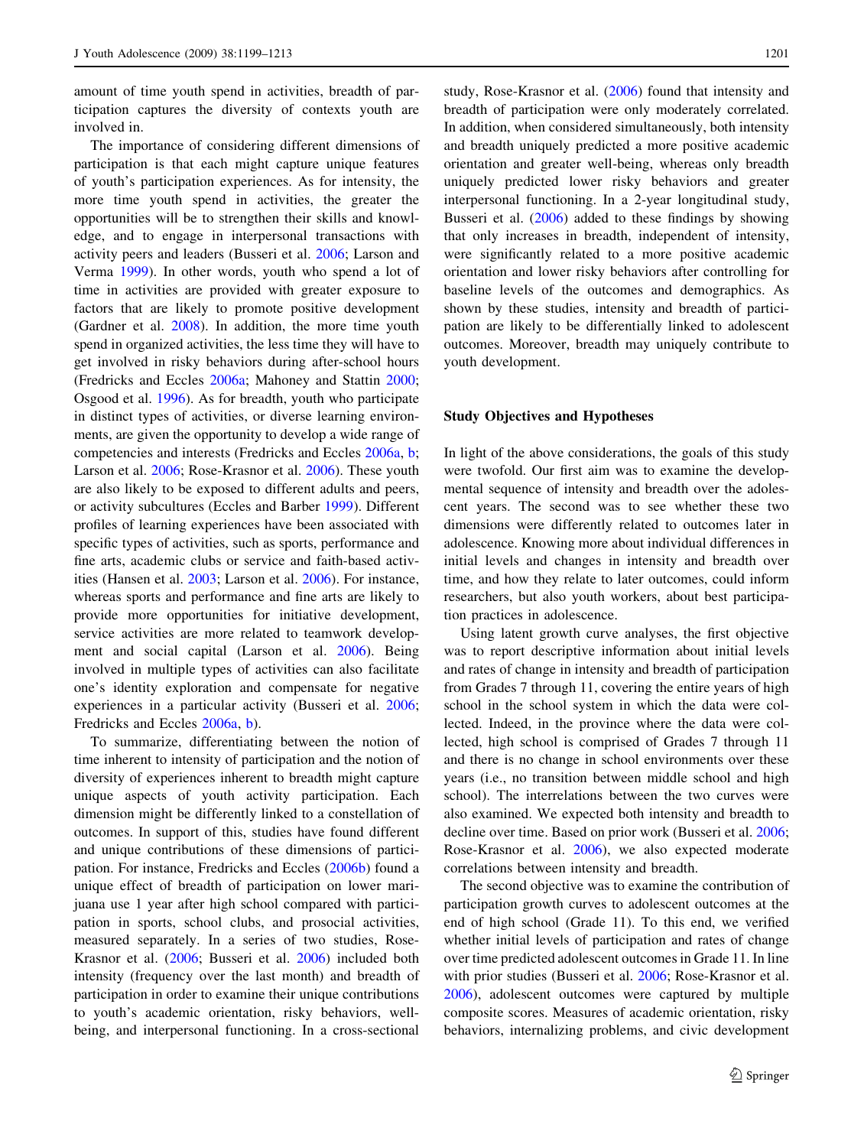amount of time youth spend in activities, breadth of participation captures the diversity of contexts youth are involved in.

The importance of considering different dimensions of participation is that each might capture unique features of youth's participation experiences. As for intensity, the more time youth spend in activities, the greater the opportunities will be to strengthen their skills and knowledge, and to engage in interpersonal transactions with activity peers and leaders (Busseri et al. [2006;](#page-13-0) Larson and Verma [1999\)](#page-14-0). In other words, youth who spend a lot of time in activities are provided with greater exposure to factors that are likely to promote positive development (Gardner et al. [2008](#page-14-0)). In addition, the more time youth spend in organized activities, the less time they will have to get involved in risky behaviors during after-school hours (Fredricks and Eccles [2006a](#page-14-0); Mahoney and Stattin [2000](#page-14-0); Osgood et al. [1996\)](#page-14-0). As for breadth, youth who participate in distinct types of activities, or diverse learning environments, are given the opportunity to develop a wide range of competencies and interests (Fredricks and Eccles [2006a](#page-14-0), [b](#page-14-0); Larson et al. [2006](#page-14-0); Rose-Krasnor et al. [2006\)](#page-14-0). These youth are also likely to be exposed to different adults and peers, or activity subcultures (Eccles and Barber [1999\)](#page-14-0). Different profiles of learning experiences have been associated with specific types of activities, such as sports, performance and fine arts, academic clubs or service and faith-based activities (Hansen et al. [2003](#page-14-0); Larson et al. [2006](#page-14-0)). For instance, whereas sports and performance and fine arts are likely to provide more opportunities for initiative development, service activities are more related to teamwork development and social capital (Larson et al. [2006](#page-14-0)). Being involved in multiple types of activities can also facilitate one's identity exploration and compensate for negative experiences in a particular activity (Busseri et al. [2006](#page-13-0); Fredricks and Eccles [2006a,](#page-14-0) [b\)](#page-14-0).

To summarize, differentiating between the notion of time inherent to intensity of participation and the notion of diversity of experiences inherent to breadth might capture unique aspects of youth activity participation. Each dimension might be differently linked to a constellation of outcomes. In support of this, studies have found different and unique contributions of these dimensions of participation. For instance, Fredricks and Eccles [\(2006b](#page-14-0)) found a unique effect of breadth of participation on lower marijuana use 1 year after high school compared with participation in sports, school clubs, and prosocial activities, measured separately. In a series of two studies, Rose-Krasnor et al. ([2006;](#page-14-0) Busseri et al. [2006\)](#page-13-0) included both intensity (frequency over the last month) and breadth of participation in order to examine their unique contributions to youth's academic orientation, risky behaviors, wellbeing, and interpersonal functioning. In a cross-sectional

study, Rose-Krasnor et al. ([2006\)](#page-14-0) found that intensity and breadth of participation were only moderately correlated. In addition, when considered simultaneously, both intensity and breadth uniquely predicted a more positive academic orientation and greater well-being, whereas only breadth uniquely predicted lower risky behaviors and greater interpersonal functioning. In a 2-year longitudinal study, Busseri et al. ([2006\)](#page-13-0) added to these findings by showing that only increases in breadth, independent of intensity, were significantly related to a more positive academic orientation and lower risky behaviors after controlling for baseline levels of the outcomes and demographics. As shown by these studies, intensity and breadth of participation are likely to be differentially linked to adolescent outcomes. Moreover, breadth may uniquely contribute to youth development.

#### Study Objectives and Hypotheses

In light of the above considerations, the goals of this study were twofold. Our first aim was to examine the developmental sequence of intensity and breadth over the adolescent years. The second was to see whether these two dimensions were differently related to outcomes later in adolescence. Knowing more about individual differences in initial levels and changes in intensity and breadth over time, and how they relate to later outcomes, could inform researchers, but also youth workers, about best participation practices in adolescence.

Using latent growth curve analyses, the first objective was to report descriptive information about initial levels and rates of change in intensity and breadth of participation from Grades 7 through 11, covering the entire years of high school in the school system in which the data were collected. Indeed, in the province where the data were collected, high school is comprised of Grades 7 through 11 and there is no change in school environments over these years (i.e., no transition between middle school and high school). The interrelations between the two curves were also examined. We expected both intensity and breadth to decline over time. Based on prior work (Busseri et al. [2006](#page-13-0); Rose-Krasnor et al. [2006](#page-14-0)), we also expected moderate correlations between intensity and breadth.

The second objective was to examine the contribution of participation growth curves to adolescent outcomes at the end of high school (Grade 11). To this end, we verified whether initial levels of participation and rates of change over time predicted adolescent outcomes in Grade 11. In line with prior studies (Busseri et al. [2006;](#page-13-0) Rose-Krasnor et al. [2006](#page-14-0)), adolescent outcomes were captured by multiple composite scores. Measures of academic orientation, risky behaviors, internalizing problems, and civic development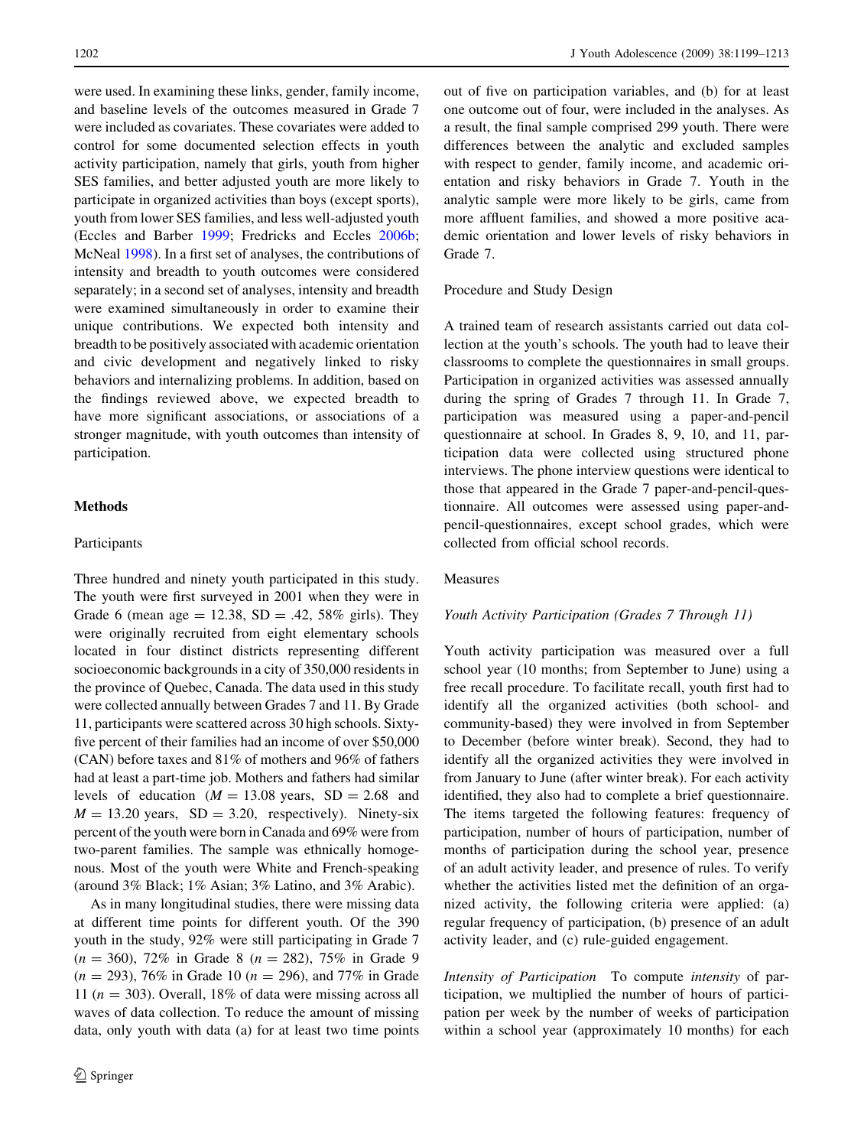were used. In examining these links, gender, family income, and baseline levels of the outcomes measured in Grade 7 were included as covariates. These covariates were added to control for some documented selection effects in youth activity participation, namely that girls, youth from higher SES families, and better adjusted youth are more likely to participate in organized activities than boys (except sports), youth from lower SES families, and less well-adjusted youth (Eccles and Barber [1999](#page-14-0); Fredricks and Eccles [2006b](#page-14-0); McNeal [1998\)](#page-14-0). In a first set of analyses, the contributions of intensity and breadth to youth outcomes were considered separately; in a second set of analyses, intensity and breadth were examined simultaneously in order to examine their unique contributions. We expected both intensity and breadth to be positively associated with academic orientation and civic development and negatively linked to risky behaviors and internalizing problems. In addition, based on the findings reviewed above, we expected breadth to have more significant associations, or associations of a stronger magnitude, with youth outcomes than intensity of participation.

## Methods

## Participants

Three hundred and ninety youth participated in this study. The youth were first surveyed in 2001 when they were in Grade 6 (mean age = 12.38, SD = .42, 58% girls). They were originally recruited from eight elementary schools located in four distinct districts representing different socioeconomic backgrounds in a city of 350,000 residents in the province of Quebec, Canada. The data used in this study were collected annually between Grades 7 and 11. By Grade 11, participants were scattered across 30 high schools. Sixtyfive percent of their families had an income of over \$50,000 (CAN) before taxes and 81% of mothers and 96% of fathers had at least a part-time job. Mothers and fathers had similar levels of education ( $M = 13.08$  years,  $SD = 2.68$  and  $M = 13.20$  years,  $SD = 3.20$ , respectively). Ninety-six percent of the youth were born in Canada and 69% were from two-parent families. The sample was ethnically homogenous. Most of the youth were White and French-speaking (around 3% Black; 1% Asian; 3% Latino, and 3% Arabic).

As in many longitudinal studies, there were missing data at different time points for different youth. Of the 390 youth in the study, 92% were still participating in Grade 7  $(n = 360)$ , 72% in Grade 8  $(n = 282)$ , 75% in Grade 9  $(n = 293)$ , 76% in Grade 10  $(n = 296)$ , and 77% in Grade 11 ( $n = 303$ ). Overall, 18% of data were missing across all waves of data collection. To reduce the amount of missing data, only youth with data (a) for at least two time points out of five on participation variables, and (b) for at least one outcome out of four, were included in the analyses. As a result, the final sample comprised 299 youth. There were differences between the analytic and excluded samples with respect to gender, family income, and academic orientation and risky behaviors in Grade 7. Youth in the analytic sample were more likely to be girls, came from more affluent families, and showed a more positive academic orientation and lower levels of risky behaviors in Grade 7.

Procedure and Study Design

A trained team of research assistants carried out data collection at the youth's schools. The youth had to leave their classrooms to complete the questionnaires in small groups. Participation in organized activities was assessed annually during the spring of Grades 7 through 11. In Grade 7, participation was measured using a paper-and-pencil questionnaire at school. In Grades 8, 9, 10, and 11, participation data were collected using structured phone interviews. The phone interview questions were identical to those that appeared in the Grade 7 paper-and-pencil-questionnaire. All outcomes were assessed using paper-andpencil-questionnaires, except school grades, which were collected from official school records.

## Measures

#### Youth Activity Participation (Grades 7 Through 11)

Youth activity participation was measured over a full school year (10 months; from September to June) using a free recall procedure. To facilitate recall, youth first had to identify all the organized activities (both school- and community-based) they were involved in from September to December (before winter break). Second, they had to identify all the organized activities they were involved in from January to June (after winter break). For each activity identified, they also had to complete a brief questionnaire. The items targeted the following features: frequency of participation, number of hours of participation, number of months of participation during the school year, presence of an adult activity leader, and presence of rules. To verify whether the activities listed met the definition of an organized activity, the following criteria were applied: (a) regular frequency of participation, (b) presence of an adult activity leader, and (c) rule-guided engagement.

Intensity of Participation To compute intensity of participation, we multiplied the number of hours of participation per week by the number of weeks of participation within a school year (approximately 10 months) for each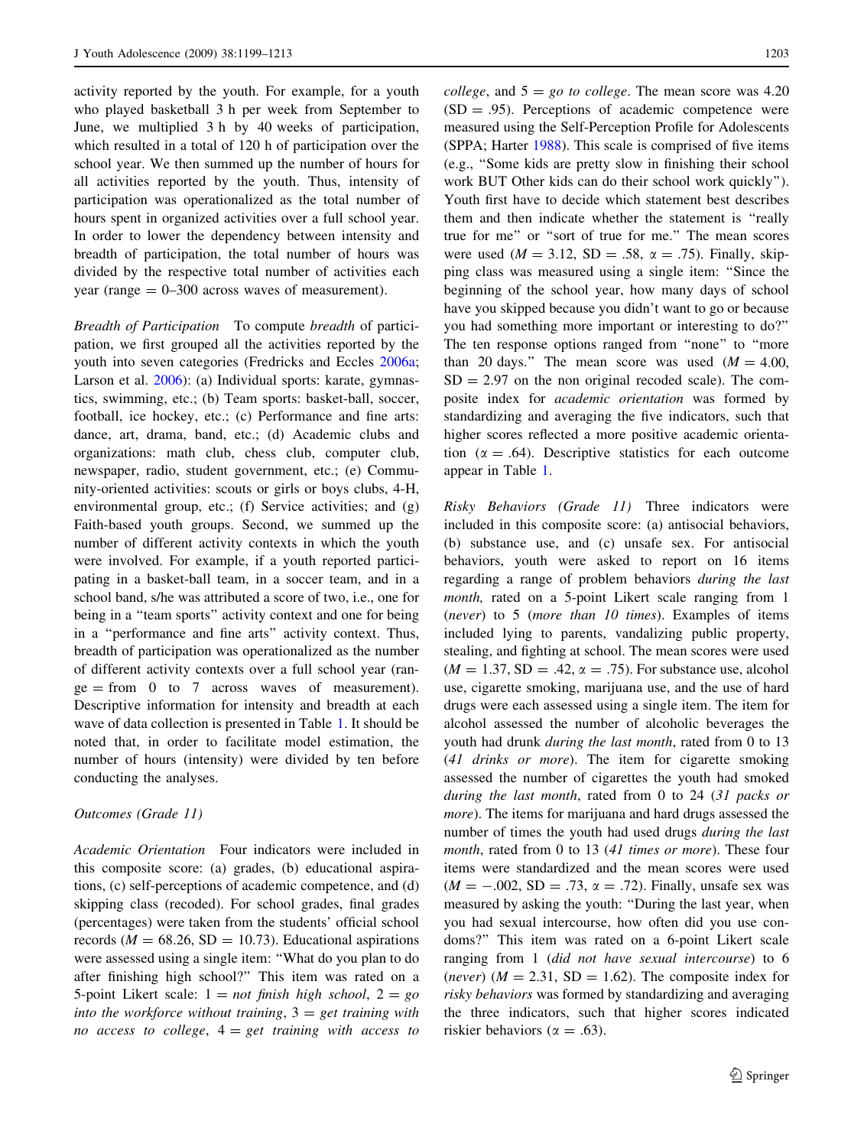activity reported by the youth. For example, for a youth who played basketball 3 h per week from September to June, we multiplied 3 h by 40 weeks of participation, which resulted in a total of 120 h of participation over the school year. We then summed up the number of hours for all activities reported by the youth. Thus, intensity of participation was operationalized as the total number of hours spent in organized activities over a full school year. In order to lower the dependency between intensity and breadth of participation, the total number of hours was divided by the respective total number of activities each year (range  $= 0-300$  across waves of measurement).

Breadth of Participation To compute breadth of participation, we first grouped all the activities reported by the youth into seven categories (Fredricks and Eccles [2006a](#page-14-0); Larson et al. [2006\)](#page-14-0): (a) Individual sports: karate, gymnastics, swimming, etc.; (b) Team sports: basket-ball, soccer, football, ice hockey, etc.; (c) Performance and fine arts: dance, art, drama, band, etc.; (d) Academic clubs and organizations: math club, chess club, computer club, newspaper, radio, student government, etc.; (e) Community-oriented activities: scouts or girls or boys clubs, 4-H, environmental group, etc.; (f) Service activities; and (g) Faith-based youth groups. Second, we summed up the number of different activity contexts in which the youth were involved. For example, if a youth reported participating in a basket-ball team, in a soccer team, and in a school band, s/he was attributed a score of two, i.e., one for being in a "team sports" activity context and one for being in a ''performance and fine arts'' activity context. Thus, breadth of participation was operationalized as the number of different activity contexts over a full school year (ran $ge = from \t0 to \t7 across waves of measurement).$ Descriptive information for intensity and breadth at each wave of data collection is presented in Table [1](#page-5-0). It should be noted that, in order to facilitate model estimation, the number of hours (intensity) were divided by ten before conducting the analyses.

# Outcomes (Grade 11)

Academic Orientation Four indicators were included in this composite score: (a) grades, (b) educational aspirations, (c) self-perceptions of academic competence, and (d) skipping class (recoded). For school grades, final grades (percentages) were taken from the students' official school records ( $M = 68.26$ , SD = 10.73). Educational aspirations were assessed using a single item: ''What do you plan to do after finishing high school?'' This item was rated on a 5-point Likert scale:  $1 = not$  finish high school,  $2 = go$ into the workforce without training,  $3 = get$  training with no access to college,  $4 = get$  training with access to college, and  $5 = go$  to college. The mean score was 4.20  $(SD = .95)$ . Perceptions of academic competence were measured using the Self-Perception Profile for Adolescents (SPPA; Harter [1988](#page-14-0)). This scale is comprised of five items (e.g., ''Some kids are pretty slow in finishing their school work BUT Other kids can do their school work quickly''). Youth first have to decide which statement best describes them and then indicate whether the statement is ''really true for me'' or ''sort of true for me.'' The mean scores were used  $(M = 3.12, SD = .58, \alpha = .75)$ . Finally, skipping class was measured using a single item: ''Since the beginning of the school year, how many days of school have you skipped because you didn't want to go or because you had something more important or interesting to do?'' The ten response options ranged from "none" to "more" than 20 days." The mean score was used  $(M = 4.00,$  $SD = 2.97$  on the non original recoded scale). The composite index for academic orientation was formed by standardizing and averaging the five indicators, such that higher scores reflected a more positive academic orientation ( $\alpha = .64$ ). Descriptive statistics for each outcome appear in Table [1](#page-5-0).

Risky Behaviors (Grade 11) Three indicators were included in this composite score: (a) antisocial behaviors, (b) substance use, and (c) unsafe sex. For antisocial behaviors, youth were asked to report on 16 items regarding a range of problem behaviors during the last month, rated on a 5-point Likert scale ranging from 1 (never) to 5 (more than 10 times). Examples of items included lying to parents, vandalizing public property, stealing, and fighting at school. The mean scores were used  $(M = 1.37, SD = .42, \alpha = .75)$ . For substance use, alcohol use, cigarette smoking, marijuana use, and the use of hard drugs were each assessed using a single item. The item for alcohol assessed the number of alcoholic beverages the youth had drunk during the last month, rated from 0 to 13 (41 drinks or more). The item for cigarette smoking assessed the number of cigarettes the youth had smoked during the last month, rated from 0 to 24 (31 packs or more). The items for marijuana and hard drugs assessed the number of times the youth had used drugs *during the last* month, rated from 0 to 13 (41 times or more). These four items were standardized and the mean scores were used  $(M = -.002, SD = .73, \alpha = .72)$ . Finally, unsafe sex was measured by asking the youth: ''During the last year, when you had sexual intercourse, how often did you use condoms?'' This item was rated on a 6-point Likert scale ranging from 1 (did not have sexual intercourse) to 6 (never) ( $M = 2.31$ , SD = 1.62). The composite index for risky behaviors was formed by standardizing and averaging the three indicators, such that higher scores indicated riskier behaviors ( $\alpha = .63$ ).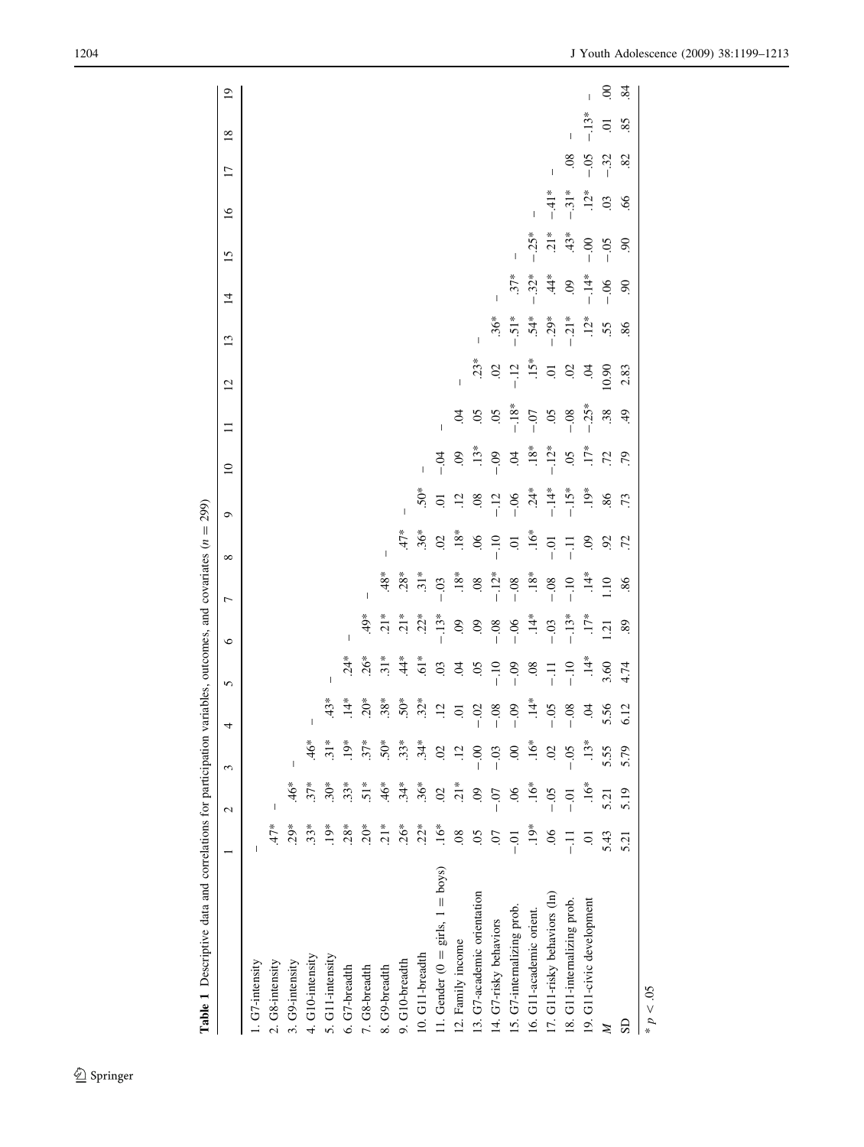<span id="page-5-0"></span>

| <b>Table 1</b> Descriptive data and correlations for participation variables, outcomes, and covariates $(n = 299)$ |                 |               |                |             |                           |                     |                |                |                               |             |            |                           |                    |                      |                 |                 |                |          |                |
|--------------------------------------------------------------------------------------------------------------------|-----------------|---------------|----------------|-------------|---------------------------|---------------------|----------------|----------------|-------------------------------|-------------|------------|---------------------------|--------------------|----------------------|-----------------|-----------------|----------------|----------|----------------|
|                                                                                                                    |                 | 2             | 3              | 4           | 5                         | $\circ$             | $\overline{ }$ | ${}^{\circ}$   | G                             | $\supseteq$ |            | $\overline{2}$            | $\overline{c}$     | $\overline{4}$       | $\overline{15}$ | $\overline{16}$ | $\overline{1}$ | $\infty$ | $\overline{9}$ |
| 1. G7-intensity                                                                                                    |                 |               |                |             |                           |                     |                |                |                               |             |            |                           |                    |                      |                 |                 |                |          |                |
| 2. G8-intensity                                                                                                    | $47*$           |               |                |             |                           |                     |                |                |                               |             |            |                           |                    |                      |                 |                 |                |          |                |
| 3. G9-intensity                                                                                                    | $29*$           | $.46*$        |                |             |                           |                     |                |                |                               |             |            |                           |                    |                      |                 |                 |                |          |                |
| 4. G10-intensity                                                                                                   | $33*$           | $37*$         |                |             |                           |                     |                |                |                               |             |            |                           |                    |                      |                 |                 |                |          |                |
| 5. G11-intensity                                                                                                   | $19*$           | $30*$         | $31*$          | $43*$       | $\overline{1}$            |                     |                |                |                               |             |            |                           |                    |                      |                 |                 |                |          |                |
| 6. G7-breadth                                                                                                      | $.28*$          | $33*$         | $19*$          | $14*$       | $24*$                     |                     |                |                |                               |             |            |                           |                    |                      |                 |                 |                |          |                |
| 7. G8-breadth                                                                                                      | $.20*$          | $51*$         | $37*$          | $.20*$      | $.26*$                    | $49*$               |                |                |                               |             |            |                           |                    |                      |                 |                 |                |          |                |
| 8. G9-breadth                                                                                                      | $.21*$          | $46*$         | $50*$          | $.38*$      | $31*$                     | $\ddot{5}$          | $48*$          |                |                               |             |            |                           |                    |                      |                 |                 |                |          |                |
| 9. G10-breadth                                                                                                     | $.26*$          | $34*$         | $33*$          | $50*$       | $\ddot{4}$                | $\frac{1}{2}$       | $.28*$         | $47*$          |                               |             |            |                           |                    |                      |                 |                 |                |          |                |
| 10. G11-breadth                                                                                                    | $.22*$          | $.36*$        | $34*$          | $.32*$      | $.61*$                    | $2^{3}$             | $31*$          | $.36*$         | $.50*$                        |             |            |                           |                    |                      |                 |                 |                |          |                |
| 11. Gender ( $0 = \text{grils}, 1 = \text{boys}$ )                                                                 | $.16*$          | $\mathcal{L}$ | 02             | $\ddot{5}$  | $\rm 03$                  | $-13*$              | $-0.9$         | $\mathfrak{S}$ | $\overline{5}$ $\overline{1}$ | $-0.4$      |            |                           |                    |                      |                 |                 |                |          |                |
| 12. Family income                                                                                                  | .08             | $21*$         |                |             | Ŕ                         | $\odot$             | $.18*$         | $18*$          |                               | 60          | Ś          |                           |                    |                      |                 |                 |                |          |                |
| 13. G7-academic orientation                                                                                        | $\overline{50}$ | $\mathcal{S}$ | $-00 -$        |             | $\widetilde{\mathcal{S}}$ | $\ddot{\mathrm{S}}$ | $-12$          | $\mathcal{S}$  | $\ddot{\phantom{a}}$          | $.13*$      | 65         | $.23*$                    | I                  |                      |                 |                 |                |          |                |
| 14. G7-risky behaviors                                                                                             | S               | $-0$          | $-0.3$         | $500 - 300$ | $-10$<br>$-00$            | $-0.08$             |                | $-10$          | $-12$                         | $-0.09$     |            | $\Xi$                     |                    |                      |                 |                 |                |          |                |
| 15. G7-internalizing prob.                                                                                         | Ξ<br>⊃          | $\mathcal{S}$ | $\odot$        | $-0.9$      |                           | $-0.06$             | $-0.08$<br>18* |                | $-0.06$                       | $\ddot{9}$  | $-18*$     | $-12$                     | $-51*$             | $.37*$               |                 |                 |                |          |                |
| 16. G11-academic orient.                                                                                           | $19*$           | $.16*$        | $.16*$         | $.14*$      | 08                        | $\ddot{14}$         |                | $.16*$         | $.24*$                        | $.18*$      | $-0$       | $.15*$                    | $54*$              | $-.32*$              | $-0.25*$        |                 |                |          |                |
| 17. G11-risky behaviors (ln)                                                                                       | S.              | $-0.5$        | $\overline{c}$ | $-0.5$      | $\overline{a}$            | $-0.03$             | $-0.08$        | $-11$          | $-14*$<br>$-15*$              | $-12*$      | 65         | $\Xi$                     | $-29^*$<br>$-21^*$ | $\ddot{4}$           | $.21*$          | $-41*$          | $\mathbf{I}$   |          |                |
| 18. G11-internalizing prob.                                                                                        |                 | $-5$          | $-0.5$         | $-0.08$     | $-10$                     | $-.13*$             | $-10$          |                |                               | 05          | $-0.08$    | $\widetilde{\mathcal{S}}$ |                    | $\ddot{\mathrm{60}}$ | $43*$           | $-31*$          | 08             |          |                |
| 19. G11-civic development                                                                                          | Ş               | $.16*$        | $.13*$         | Ŕ.          | $14*$                     | $\ddot{17}$         | $\ddot{4}$     | S.             | $.19*$                        | $.17*$      | $-25*$     | Ŕ.                        | $\frac{12}{3}$     | $-14*$               | $-0.0$          | $.12*$          | $-0.5$         | $-13*$   |                |
| Z                                                                                                                  | 5.43            | 5.21          | 5.55           | 5.56        | 3.60                      | 1.21                | 1.10           | S              | 86                            | .72         | .38        | 0.90                      |                    | $-0.6$               | $-0.5$          | $\overline{0}$  | $-32$          | S.       | S              |
| SD                                                                                                                 | 5.21            | 5.19          | 5.79           | 6.12        | 4.74                      | 89                  | 86             | 72             | .73                           | .79         | $\ddot{e}$ | 2.83                      | 86                 | 9Ó                   | $\mathcal{S}$   | 89.             | 82             | 85       | 84             |
| p < .05                                                                                                            |                 |               |                |             |                           |                     |                |                |                               |             |            |                           |                    |                      |                 |                 |                |          |                |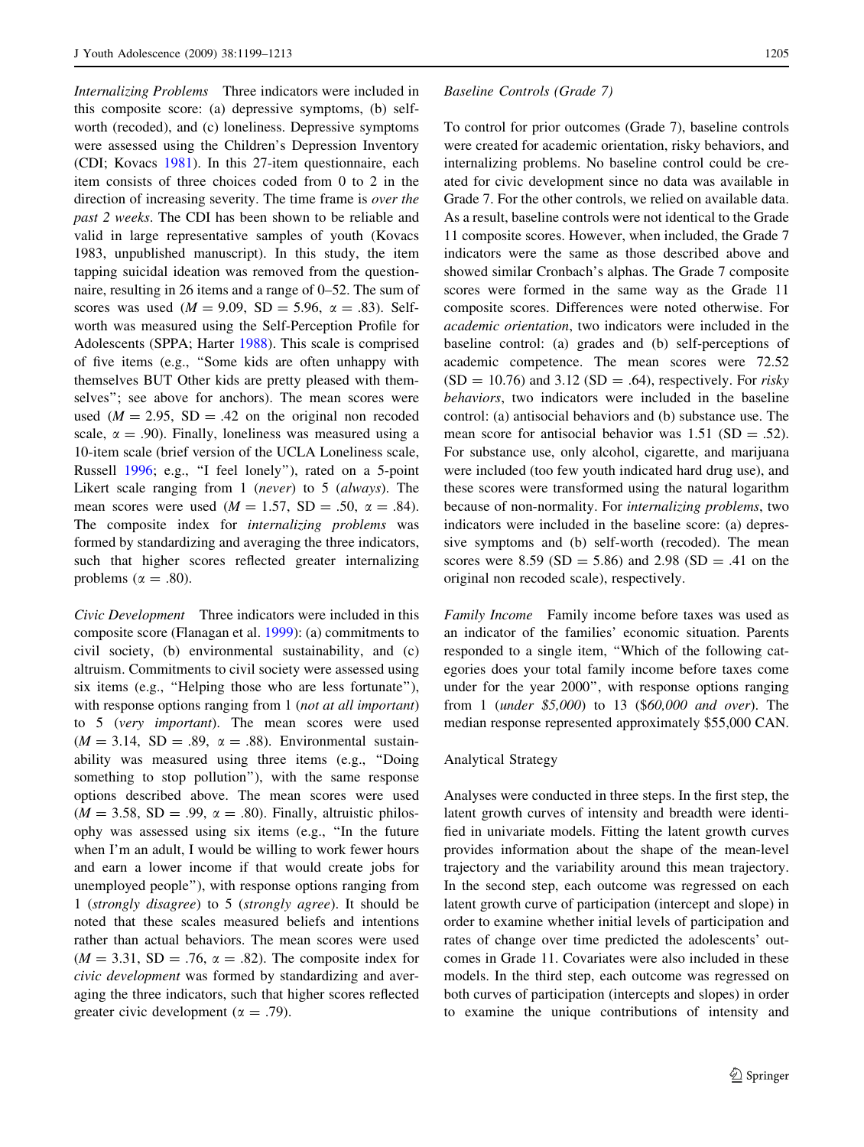Internalizing Problems Three indicators were included in this composite score: (a) depressive symptoms, (b) selfworth (recoded), and (c) loneliness. Depressive symptoms were assessed using the Children's Depression Inventory (CDI; Kovacs [1981\)](#page-14-0). In this 27-item questionnaire, each item consists of three choices coded from 0 to 2 in the direction of increasing severity. The time frame is over the past 2 weeks. The CDI has been shown to be reliable and valid in large representative samples of youth (Kovacs 1983, unpublished manuscript). In this study, the item tapping suicidal ideation was removed from the questionnaire, resulting in 26 items and a range of 0–52. The sum of scores was used  $(M = 9.09, SD = 5.96, \alpha = .83)$ . Selfworth was measured using the Self-Perception Profile for Adolescents (SPPA; Harter [1988\)](#page-14-0). This scale is comprised of five items (e.g., ''Some kids are often unhappy with themselves BUT Other kids are pretty pleased with themselves''; see above for anchors). The mean scores were used ( $M = 2.95$ , SD = .42 on the original non recoded scale,  $\alpha = .90$ ). Finally, loneliness was measured using a 10-item scale (brief version of the UCLA Loneliness scale, Russell [1996](#page-14-0); e.g., ''I feel lonely''), rated on a 5-point Likert scale ranging from 1 (*never*) to 5 (*always*). The mean scores were used  $(M = 1.57, SD = .50, \alpha = .84)$ . The composite index for internalizing problems was formed by standardizing and averaging the three indicators, such that higher scores reflected greater internalizing problems ( $\alpha = .80$ ).

Civic Development Three indicators were included in this composite score (Flanagan et al. [1999](#page-14-0)): (a) commitments to civil society, (b) environmental sustainability, and (c) altruism. Commitments to civil society were assessed using six items (e.g., "Helping those who are less fortunate"), with response options ranging from 1 (*not at all important*) to 5 (very important). The mean scores were used  $(M = 3.14, SD = .89, \alpha = .88)$ . Environmental sustainability was measured using three items (e.g., ''Doing something to stop pollution''), with the same response options described above. The mean scores were used  $(M = 3.58, SD = .99, \alpha = .80)$ . Finally, altruistic philosophy was assessed using six items (e.g., ''In the future when I'm an adult, I would be willing to work fewer hours and earn a lower income if that would create jobs for unemployed people''), with response options ranging from 1 (strongly disagree) to 5 (strongly agree). It should be noted that these scales measured beliefs and intentions rather than actual behaviors. The mean scores were used  $(M = 3.31, SD = .76, \alpha = .82)$ . The composite index for civic development was formed by standardizing and averaging the three indicators, such that higher scores reflected greater civic development ( $\alpha = .79$ ).

#### Baseline Controls (Grade 7)

To control for prior outcomes (Grade 7), baseline controls were created for academic orientation, risky behaviors, and internalizing problems. No baseline control could be created for civic development since no data was available in Grade 7. For the other controls, we relied on available data. As a result, baseline controls were not identical to the Grade 11 composite scores. However, when included, the Grade 7 indicators were the same as those described above and showed similar Cronbach's alphas. The Grade 7 composite scores were formed in the same way as the Grade 11 composite scores. Differences were noted otherwise. For academic orientation, two indicators were included in the baseline control: (a) grades and (b) self-perceptions of academic competence. The mean scores were 72.52  $(SD = 10.76)$  and 3.12  $(SD = .64)$ , respectively. For risky behaviors, two indicators were included in the baseline control: (a) antisocial behaviors and (b) substance use. The mean score for antisocial behavior was  $1.51$  (SD = .52). For substance use, only alcohol, cigarette, and marijuana were included (too few youth indicated hard drug use), and these scores were transformed using the natural logarithm because of non-normality. For internalizing problems, two indicators were included in the baseline score: (a) depressive symptoms and (b) self-worth (recoded). The mean scores were 8.59 (SD = 5.86) and 2.98 (SD = .41 on the original non recoded scale), respectively.

Family Income Family income before taxes was used as an indicator of the families' economic situation. Parents responded to a single item, ''Which of the following categories does your total family income before taxes come under for the year 2000'', with response options ranging from 1 (under \$5,000) to 13 (\$60,000 and over). The median response represented approximately \$55,000 CAN.

## Analytical Strategy

Analyses were conducted in three steps. In the first step, the latent growth curves of intensity and breadth were identified in univariate models. Fitting the latent growth curves provides information about the shape of the mean-level trajectory and the variability around this mean trajectory. In the second step, each outcome was regressed on each latent growth curve of participation (intercept and slope) in order to examine whether initial levels of participation and rates of change over time predicted the adolescents' outcomes in Grade 11. Covariates were also included in these models. In the third step, each outcome was regressed on both curves of participation (intercepts and slopes) in order to examine the unique contributions of intensity and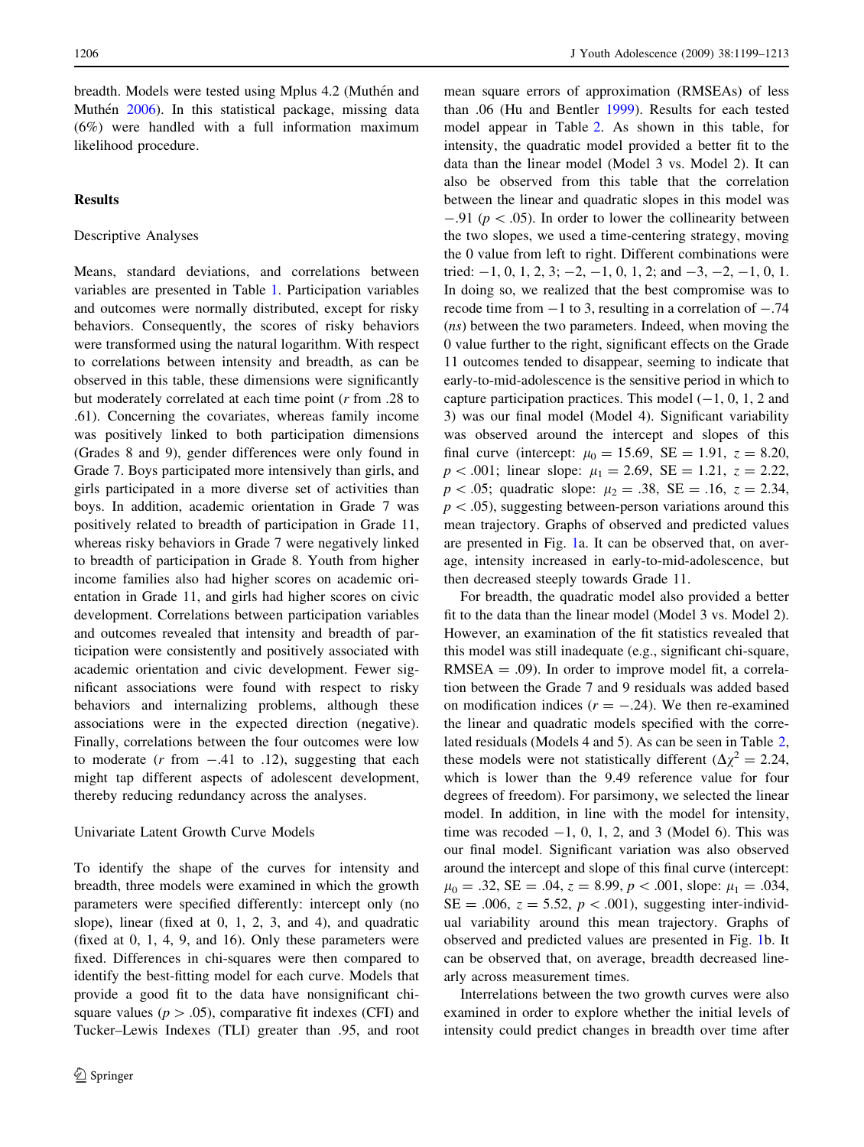breadth. Models were tested using Mplus 4.2 (Muthén and Muthén [2006](#page-14-0)). In this statistical package, missing data (6%) were handled with a full information maximum likelihood procedure.

# **Results**

#### Descriptive Analyses

Means, standard deviations, and correlations between variables are presented in Table [1.](#page-5-0) Participation variables and outcomes were normally distributed, except for risky behaviors. Consequently, the scores of risky behaviors were transformed using the natural logarithm. With respect to correlations between intensity and breadth, as can be observed in this table, these dimensions were significantly but moderately correlated at each time point (r from .28 to .61). Concerning the covariates, whereas family income was positively linked to both participation dimensions (Grades 8 and 9), gender differences were only found in Grade 7. Boys participated more intensively than girls, and girls participated in a more diverse set of activities than boys. In addition, academic orientation in Grade 7 was positively related to breadth of participation in Grade 11, whereas risky behaviors in Grade 7 were negatively linked to breadth of participation in Grade 8. Youth from higher income families also had higher scores on academic orientation in Grade 11, and girls had higher scores on civic development. Correlations between participation variables and outcomes revealed that intensity and breadth of participation were consistently and positively associated with academic orientation and civic development. Fewer significant associations were found with respect to risky behaviors and internalizing problems, although these associations were in the expected direction (negative). Finally, correlations between the four outcomes were low to moderate ( $r$  from  $-.41$  to  $.12$ ), suggesting that each might tap different aspects of adolescent development, thereby reducing redundancy across the analyses.

#### Univariate Latent Growth Curve Models

To identify the shape of the curves for intensity and breadth, three models were examined in which the growth parameters were specified differently: intercept only (no slope), linear (fixed at 0, 1, 2, 3, and 4), and quadratic (fixed at 0, 1, 4, 9, and 16). Only these parameters were fixed. Differences in chi-squares were then compared to identify the best-fitting model for each curve. Models that provide a good fit to the data have nonsignificant chisquare values ( $p > .05$ ), comparative fit indexes (CFI) and Tucker–Lewis Indexes (TLI) greater than .95, and root mean square errors of approximation (RMSEAs) of less than .06 (Hu and Bentler [1999\)](#page-14-0). Results for each tested model appear in Table [2](#page-8-0). As shown in this table, for intensity, the quadratic model provided a better fit to the data than the linear model (Model 3 vs. Model 2). It can also be observed from this table that the correlation between the linear and quadratic slopes in this model was  $-.91$  ( $p < .05$ ). In order to lower the collinearity between the two slopes, we used a time-centering strategy, moving the 0 value from left to right. Different combinations were tried:  $-1$ , 0, 1, 2, 3;  $-2$ ,  $-1$ , 0, 1, 2; and  $-3$ ,  $-2$ ,  $-1$ , 0, 1. In doing so, we realized that the best compromise was to recode time from  $-1$  to 3, resulting in a correlation of  $-.74$ (*ns*) between the two parameters. Indeed, when moving the 0 value further to the right, significant effects on the Grade 11 outcomes tended to disappear, seeming to indicate that early-to-mid-adolescence is the sensitive period in which to capture participation practices. This model  $(-1, 0, 1, 2, 1)$ 3) was our final model (Model 4). Significant variability was observed around the intercept and slopes of this final curve (intercept:  $\mu_0 = 15.69$ , SE = 1.91,  $z = 8.20$ ,  $p$  < .001; linear slope:  $\mu_1 = 2.69$ , SE = 1.21,  $z = 2.22$ ,  $p$  < .05; quadratic slope:  $\mu_2 = .38$ , SE = .16,  $z = 2.34$ ,  $p\lt 0.05$ , suggesting between-person variations around this mean trajectory. Graphs of observed and predicted values are presented in Fig. [1](#page-9-0)a. It can be observed that, on average, intensity increased in early-to-mid-adolescence, but then decreased steeply towards Grade 11.

For breadth, the quadratic model also provided a better fit to the data than the linear model (Model 3 vs. Model 2). However, an examination of the fit statistics revealed that this model was still inadequate (e.g., significant chi-square,  $RMSEA = .09$ . In order to improve model fit, a correlation between the Grade 7 and 9 residuals was added based on modification indices  $(r = -.24)$ . We then re-examined the linear and quadratic models specified with the correlated residuals (Models 4 and 5). As can be seen in Table [2,](#page-8-0) these models were not statistically different ( $\Delta \chi^2 = 2.24$ , which is lower than the 9.49 reference value for four degrees of freedom). For parsimony, we selected the linear model. In addition, in line with the model for intensity, time was recoded  $-1$ , 0, 1, 2, and 3 (Model 6). This was our final model. Significant variation was also observed around the intercept and slope of this final curve (intercept:  $\mu_0 = .32$ , SE = .04,  $z = 8.99$ ,  $p < .001$ , slope:  $\mu_1 = .034$ ,  $SE = .006$ ,  $z = 5.52$ ,  $p < .001$ ), suggesting inter-individual variability around this mean trajectory. Graphs of observed and predicted values are presented in Fig. [1](#page-9-0)b. It can be observed that, on average, breadth decreased linearly across measurement times.

Interrelations between the two growth curves were also examined in order to explore whether the initial levels of intensity could predict changes in breadth over time after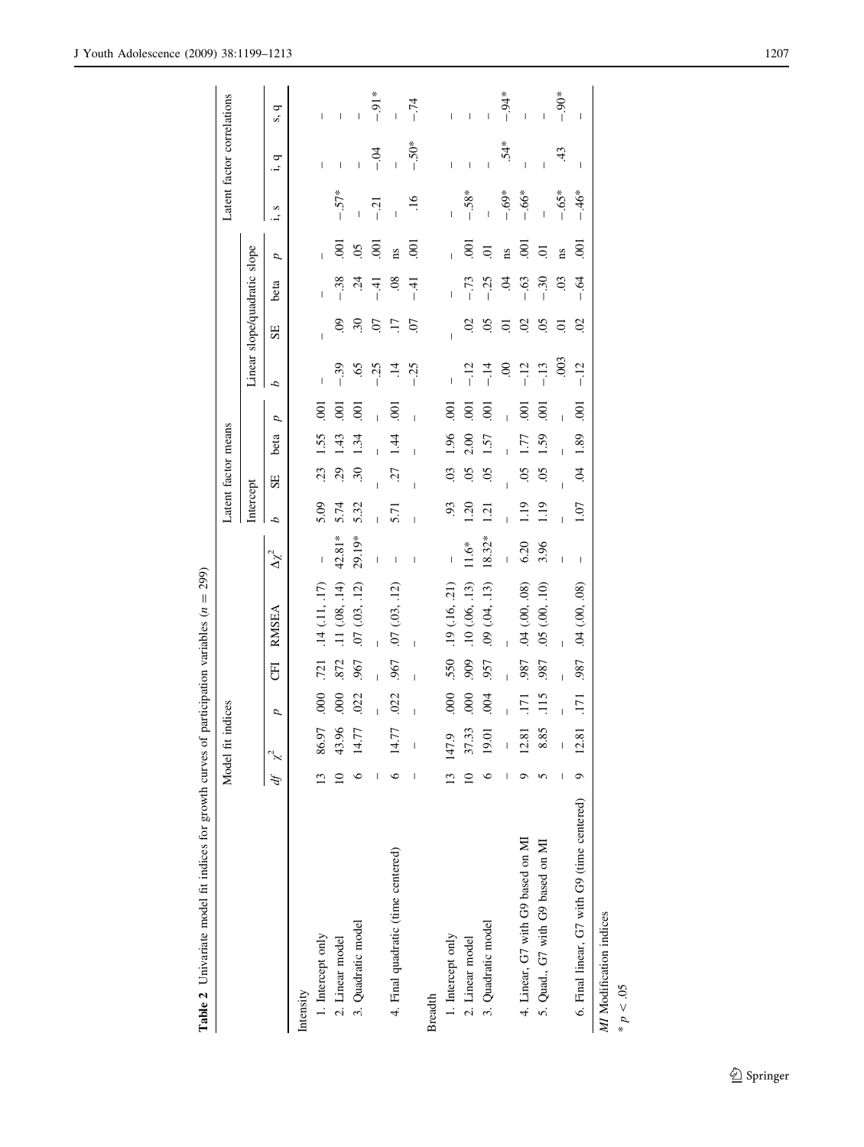<span id="page-8-0"></span>

|                                             |                 | Model fit indices |                  |      |                  |                                       |                  | Latent factor means |                |                          |                |                              |                                       |                |                  | Latent factor correlations                                                                                                                                                                                                                                                                                                                                                       |                                                                                                                                                                                                                                                                                                                                                                                  |
|---------------------------------------------|-----------------|-------------------|------------------|------|------------------|---------------------------------------|------------------|---------------------|----------------|--------------------------|----------------|------------------------------|---------------------------------------|----------------|------------------|----------------------------------------------------------------------------------------------------------------------------------------------------------------------------------------------------------------------------------------------------------------------------------------------------------------------------------------------------------------------------------|----------------------------------------------------------------------------------------------------------------------------------------------------------------------------------------------------------------------------------------------------------------------------------------------------------------------------------------------------------------------------------|
|                                             |                 |                   |                  |      |                  |                                       | Intercept        |                     |                |                          |                | Linear slope/quadratic slope |                                       |                |                  |                                                                                                                                                                                                                                                                                                                                                                                  |                                                                                                                                                                                                                                                                                                                                                                                  |
|                                             |                 | $df \chi^2$       | Þ                | 呂    | RMSEA            | $\Delta \chi^2$                       | d                | SE                  | beta           | p                        | 4              | SE                           | beta                                  | d              | s<br>            | ᠳ<br>.<br>آب                                                                                                                                                                                                                                                                                                                                                                     | ᠳ<br>s,                                                                                                                                                                                                                                                                                                                                                                          |
| Intensity                                   |                 |                   |                  |      |                  |                                       |                  |                     |                |                          |                |                              |                                       |                |                  |                                                                                                                                                                                                                                                                                                                                                                                  |                                                                                                                                                                                                                                                                                                                                                                                  |
| 1. Intercept only                           | 13              | 86.97             | $\overline{000}$ | .721 | .14(.11, .17)    | $\begin{array}{c} \hline \end{array}$ | 5.09             | 23                  | 1.55           | $\ddot{\circ}$           | $\overline{1}$ | $\overline{1}$               | $\begin{array}{c} \hline \end{array}$ |                |                  | $\mathbf{I}$                                                                                                                                                                                                                                                                                                                                                                     | I                                                                                                                                                                                                                                                                                                                                                                                |
| 2. Linear model                             |                 | 43.96             | $\infty$         | 872  | .11(0.08, 14)    | 42.81*                                | 5.74             | 29                  | 1.43           | $\overline{\mathrm{SO}}$ | $-39$          | S                            | $-38$                                 | $\bar{\rm s}$  | $-.57*$          | I                                                                                                                                                                                                                                                                                                                                                                                | $\mathbf{I}$                                                                                                                                                                                                                                                                                                                                                                     |
| 3. Quadratic model                          | €               | 14.77             | 022              | 967  | .07(0.03, 12)    | 29.19*                                | 5.32             | 30                  | 1.34           | $\overline{\mathrm{SO}}$ | 59             | 30                           | $\ddot{c}$                            | $\mathfrak{S}$ |                  | I                                                                                                                                                                                                                                                                                                                                                                                | $\mathbf{I}$                                                                                                                                                                                                                                                                                                                                                                     |
|                                             |                 |                   |                  |      | $\overline{1}$   | $\begin{array}{c} \hline \end{array}$ | Ï                | Ī                   |                | Ī                        | $-25$          | <b>CO</b>                    | न्                                    | $\ddot{\circ}$ | $-21$            | $-0.4$                                                                                                                                                                                                                                                                                                                                                                           | $-91*$                                                                                                                                                                                                                                                                                                                                                                           |
| 4. Final quadratic (time centered)          | ७               | 14.77             | 022              | 967  | .07(0.03, 0.12)  | I                                     | 5.71             | 27                  | 1.44           | $\overline{\mathrm{SO}}$ | $\ddot{=}$     | $\overline{17}$              | 08                                    | ns             | Ī                | $\overline{1}$                                                                                                                                                                                                                                                                                                                                                                   | $\overline{\phantom{a}}$                                                                                                                                                                                                                                                                                                                                                         |
|                                             |                 |                   |                  | Ï    | $\overline{1}$   | I                                     | $\overline{1}$   | I                   | $\overline{1}$ | $\overline{1}$           | $-25$          | 07                           | न<br>।                                | $\overline{5}$ | $\overline{.16}$ | $-50*$                                                                                                                                                                                                                                                                                                                                                                           | $-74$                                                                                                                                                                                                                                                                                                                                                                            |
| <b>Breadth</b>                              |                 |                   |                  |      |                  |                                       |                  |                     |                |                          |                |                              |                                       |                |                  |                                                                                                                                                                                                                                                                                                                                                                                  |                                                                                                                                                                                                                                                                                                                                                                                  |
| 1. Intercept only                           | $\overline{13}$ | 147.9             | $\frac{8}{2}$    | 550  | .19(.16, .21)    | Ï                                     | 93               | $\ddot{\mathrm{S}}$ | 0.96           | ē,                       |                |                              |                                       |                | Ī                | $\begin{array}{c} \rule{0pt}{2.5ex} \rule{0pt}{2.5ex} \rule{0pt}{2.5ex} \rule{0pt}{2.5ex} \rule{0pt}{2.5ex} \rule{0pt}{2.5ex} \rule{0pt}{2.5ex} \rule{0pt}{2.5ex} \rule{0pt}{2.5ex} \rule{0pt}{2.5ex} \rule{0pt}{2.5ex} \rule{0pt}{2.5ex} \rule{0pt}{2.5ex} \rule{0pt}{2.5ex} \rule{0pt}{2.5ex} \rule{0pt}{2.5ex} \rule{0pt}{2.5ex} \rule{0pt}{2.5ex} \rule{0pt}{2.5ex} \rule{0$ | $\overline{1}$                                                                                                                                                                                                                                                                                                                                                                   |
| 2. Linear model                             | $\approx$       | 37.33             | $\frac{8}{2}$    | 909  | .10(0.06, .13)   | $1.6*$                                | 1.20             | 05                  | 2.00           | $\overline{5}$           | $\frac{2}{1}$  | S                            | $-73$                                 | ē              | $-58*$           | I                                                                                                                                                                                                                                                                                                                                                                                | $\begin{array}{c} \rule{0pt}{2.5ex} \rule{0pt}{2.5ex} \rule{0pt}{2.5ex} \rule{0pt}{2.5ex} \rule{0pt}{2.5ex} \rule{0pt}{2.5ex} \rule{0pt}{2.5ex} \rule{0pt}{2.5ex} \rule{0pt}{2.5ex} \rule{0pt}{2.5ex} \rule{0pt}{2.5ex} \rule{0pt}{2.5ex} \rule{0pt}{2.5ex} \rule{0pt}{2.5ex} \rule{0pt}{2.5ex} \rule{0pt}{2.5ex} \rule{0pt}{2.5ex} \rule{0pt}{2.5ex} \rule{0pt}{2.5ex} \rule{0$ |
| 3. Quadratic model                          |                 | 19.01             | 004              | 957  | (3)<br>.09 (.04, | 18.32*                                | $\overline{121}$ | 0 <sub>5</sub>      | 1.57           | $\overline{\mathrm{SO}}$ | $\frac{4}{1}$  | $\overline{0}$               | $-25$                                 | 5              | Ï                | $\begin{array}{c} \rule{0pt}{2.5ex} \rule{0pt}{2.5ex} \rule{0pt}{2.5ex} \rule{0pt}{2.5ex} \rule{0pt}{2.5ex} \rule{0pt}{2.5ex} \rule{0pt}{2.5ex} \rule{0pt}{2.5ex} \rule{0pt}{2.5ex} \rule{0pt}{2.5ex} \rule{0pt}{2.5ex} \rule{0pt}{2.5ex} \rule{0pt}{2.5ex} \rule{0pt}{2.5ex} \rule{0pt}{2.5ex} \rule{0pt}{2.5ex} \rule{0pt}{2.5ex} \rule{0pt}{2.5ex} \rule{0pt}{2.5ex} \rule{0$ | I                                                                                                                                                                                                                                                                                                                                                                                |
|                                             |                 |                   |                  |      | Ĭ.               |                                       |                  |                     |                |                          | S              | $\overline{0}$               | Ş.                                    | ns             | $-0.69*$         | $54*$                                                                                                                                                                                                                                                                                                                                                                            | $-94*$                                                                                                                                                                                                                                                                                                                                                                           |
| 4. Linear, G7 with G9 based on MI           |                 | 12.81             | Ξ                | 987  | .04(00, .08)     | 6.20                                  | 1.19             | 05                  | 1.77           | $\overline{5}$           | $-12$          | $\mathcal{O}$                | $-53$                                 | $\overline{5}$ | $-0.66*$         | $\overline{1}$                                                                                                                                                                                                                                                                                                                                                                   | $\begin{array}{c} \rule{0pt}{2.5ex} \rule{0pt}{2.5ex} \rule{0pt}{2.5ex} \rule{0pt}{2.5ex} \rule{0pt}{2.5ex} \rule{0pt}{2.5ex} \rule{0pt}{2.5ex} \rule{0pt}{2.5ex} \rule{0pt}{2.5ex} \rule{0pt}{2.5ex} \rule{0pt}{2.5ex} \rule{0pt}{2.5ex} \rule{0pt}{2.5ex} \rule{0pt}{2.5ex} \rule{0pt}{2.5ex} \rule{0pt}{2.5ex} \rule{0pt}{2.5ex} \rule{0pt}{2.5ex} \rule{0pt}{2.5ex} \rule{0$ |
| 5. Quad., G7 with G9 based on MI            |                 | 8.85              | 115              | .987 | .05(0.00, 10)    | 3.96                                  | 1.19             | 05                  | 1.59           | $\overline{5}$           | $-13$          | 05                           | $-30$                                 | $\overline{C}$ | Ī                | $\begin{array}{c} \rule{0pt}{2.5ex} \rule{0pt}{2.5ex} \rule{0pt}{2.5ex} \rule{0pt}{2.5ex} \rule{0pt}{2.5ex} \rule{0pt}{2.5ex} \rule{0pt}{2.5ex} \rule{0pt}{2.5ex} \rule{0pt}{2.5ex} \rule{0pt}{2.5ex} \rule{0pt}{2.5ex} \rule{0pt}{2.5ex} \rule{0pt}{2.5ex} \rule{0pt}{2.5ex} \rule{0pt}{2.5ex} \rule{0pt}{2.5ex} \rule{0pt}{2.5ex} \rule{0pt}{2.5ex} \rule{0pt}{2.5ex} \rule{0$ | Ī                                                                                                                                                                                                                                                                                                                                                                                |
|                                             |                 |                   |                  |      | $\overline{1}$   | I                                     |                  | I                   | Ī              | $\overline{1}$           | $\frac{3}{2}$  | $\overline{0}$               | $\overline{0}$                        | ns             | $-65*$           | 43                                                                                                                                                                                                                                                                                                                                                                               | $-90*$                                                                                                                                                                                                                                                                                                                                                                           |
| 6. Final linear, G7 with G9 (time centered) | $\circ$         | 12.81             | $\overline{171}$ | .987 | .04(0.00, .08)   | $\overline{1}$                        | 1.07             | $\ddot{q}$          | 1.89           | $\overline{\mathrm{SO}}$ | $-.12$         | $\approx$                    | $-64$                                 | $\ddot{\rm s}$ | $-46*$           | $\begin{array}{c} \rule{0pt}{2.5ex} \rule{0pt}{2.5ex} \rule{0pt}{2.5ex} \rule{0pt}{2.5ex} \rule{0pt}{2.5ex} \rule{0pt}{2.5ex} \rule{0pt}{2.5ex} \rule{0pt}{2.5ex} \rule{0pt}{2.5ex} \rule{0pt}{2.5ex} \rule{0pt}{2.5ex} \rule{0pt}{2.5ex} \rule{0pt}{2.5ex} \rule{0pt}{2.5ex} \rule{0pt}{2.5ex} \rule{0pt}{2.5ex} \rule{0pt}{2.5ex} \rule{0pt}{2.5ex} \rule{0pt}{2.5ex} \rule{0$ | I                                                                                                                                                                                                                                                                                                                                                                                |

 $p< 05$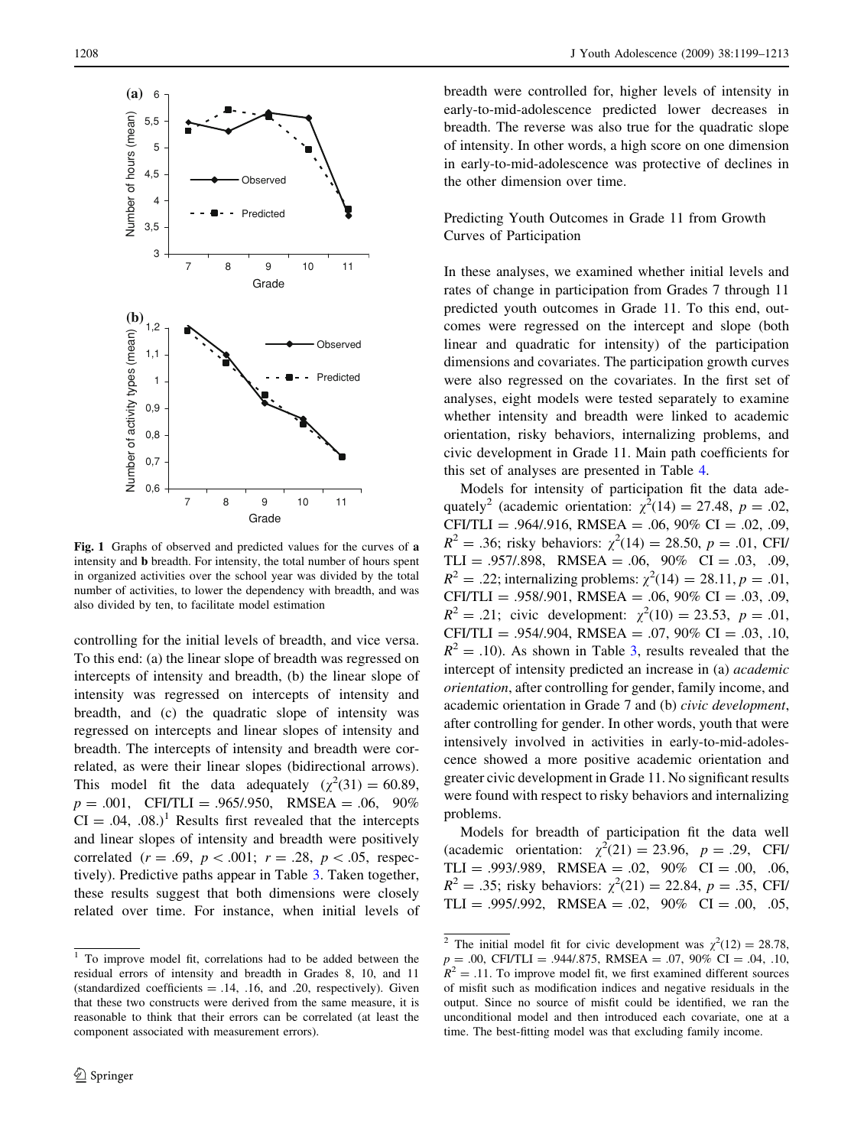<span id="page-9-0"></span>

Fig. 1 Graphs of observed and predicted values for the curves of a intensity and b breadth. For intensity, the total number of hours spent in organized activities over the school year was divided by the total number of activities, to lower the dependency with breadth, and was also divided by ten, to facilitate model estimation

controlling for the initial levels of breadth, and vice versa. To this end: (a) the linear slope of breadth was regressed on intercepts of intensity and breadth, (b) the linear slope of intensity was regressed on intercepts of intensity and breadth, and (c) the quadratic slope of intensity was regressed on intercepts and linear slopes of intensity and breadth. The intercepts of intensity and breadth were correlated, as were their linear slopes (bidirectional arrows). This model fit the data adequately  $(\chi^2(31) = 60.89,$  $p = .001$ , CFI/TLI = .965/.950, RMSEA = .06, 90%  $CI = .04, .08$ .<sup>1</sup> Results first revealed that the intercepts and linear slopes of intensity and breadth were positively correlated  $(r = .69, p < .001; r = .28, p < .05,$  respectively). Predictive paths appear in Table [3.](#page-10-0) Taken together, these results suggest that both dimensions were closely related over time. For instance, when initial levels of breadth were controlled for, higher levels of intensity in early-to-mid-adolescence predicted lower decreases in breadth. The reverse was also true for the quadratic slope of intensity. In other words, a high score on one dimension in early-to-mid-adolescence was protective of declines in the other dimension over time.

# Predicting Youth Outcomes in Grade 11 from Growth Curves of Participation

In these analyses, we examined whether initial levels and rates of change in participation from Grades 7 through 11 predicted youth outcomes in Grade 11. To this end, outcomes were regressed on the intercept and slope (both linear and quadratic for intensity) of the participation dimensions and covariates. The participation growth curves were also regressed on the covariates. In the first set of analyses, eight models were tested separately to examine whether intensity and breadth were linked to academic orientation, risky behaviors, internalizing problems, and civic development in Grade 11. Main path coefficients for this set of analyses are presented in Table [4.](#page-13-0)

Models for intensity of participation fit the data adequately<sup>2</sup> (academic orientation:  $\chi^2(14) = 27.48$ ,  $p = .02$ , CFI/TLI =  $.964/.916$ , RMSEA =  $.06$ ,  $90\%$  CI =  $.02$ ,  $.09$ ,  $R^2 = .36$ ; risky behaviors:  $\chi^2(14) = 28.50, p = .01$ , CFI/  $TLI = .957/.898$ , RMSEA = .06, 90%  $CI = .03, .09$  $R^2 = 0.22$ ; internalizing problems:  $\chi^2(14) = 28.11, p = 0.01$ , CFI/TLI =  $.958/.901$ , RMSEA =  $.06, 90\%$  CI =  $.03, .09$ ,  $R^2 = .21$ ; civic development:  $\chi^2(10) = 23.53$ ,  $p = .01$ , CFI/TLI =  $.954/.904$ , RMSEA =  $.07,90\%$  CI =  $.03, .10,$  $R^2 = .10$ ). As shown in Table [3](#page-10-0), results revealed that the intercept of intensity predicted an increase in (a) academic orientation, after controlling for gender, family income, and academic orientation in Grade 7 and (b) civic development, after controlling for gender. In other words, youth that were intensively involved in activities in early-to-mid-adolescence showed a more positive academic orientation and greater civic development in Grade 11. No significant results were found with respect to risky behaviors and internalizing problems.

Models for breadth of participation fit the data well (academic orientation:  $\chi^2(21) = 23.96$ ,  $p = .29$ , CFI/ TLI = .993/.989, RMSEA = .02,  $90\%$  CI = .00, .06,  $R^2 = .35$ ; risky behaviors:  $\chi^2(21) = 22.84$ ,  $p = .35$ , CFI/ TLI =  $.995/.992$ , RMSEA =  $.02$ ,  $90\%$  CI =  $.00$ ,  $.05$ ,

<sup>&</sup>lt;sup>1</sup> To improve model fit, correlations had to be added between the residual errors of intensity and breadth in Grades 8, 10, and 11 (standardized coefficients  $= .14, .16,$  and .20, respectively). Given that these two constructs were derived from the same measure, it is reasonable to think that their errors can be correlated (at least the component associated with measurement errors).

<sup>&</sup>lt;sup>2</sup> The initial model fit for civic development was  $\chi^2(12) = 28.78$ ,  $p = .00$ , CFI/TLI = .944/.875, RMSEA = .07, 90% CI = .04, .10,  $R^2 = .11$ . To improve model fit, we first examined different sources of misfit such as modification indices and negative residuals in the output. Since no source of misfit could be identified, we ran the unconditional model and then introduced each covariate, one at a time. The best-fitting model was that excluding family income.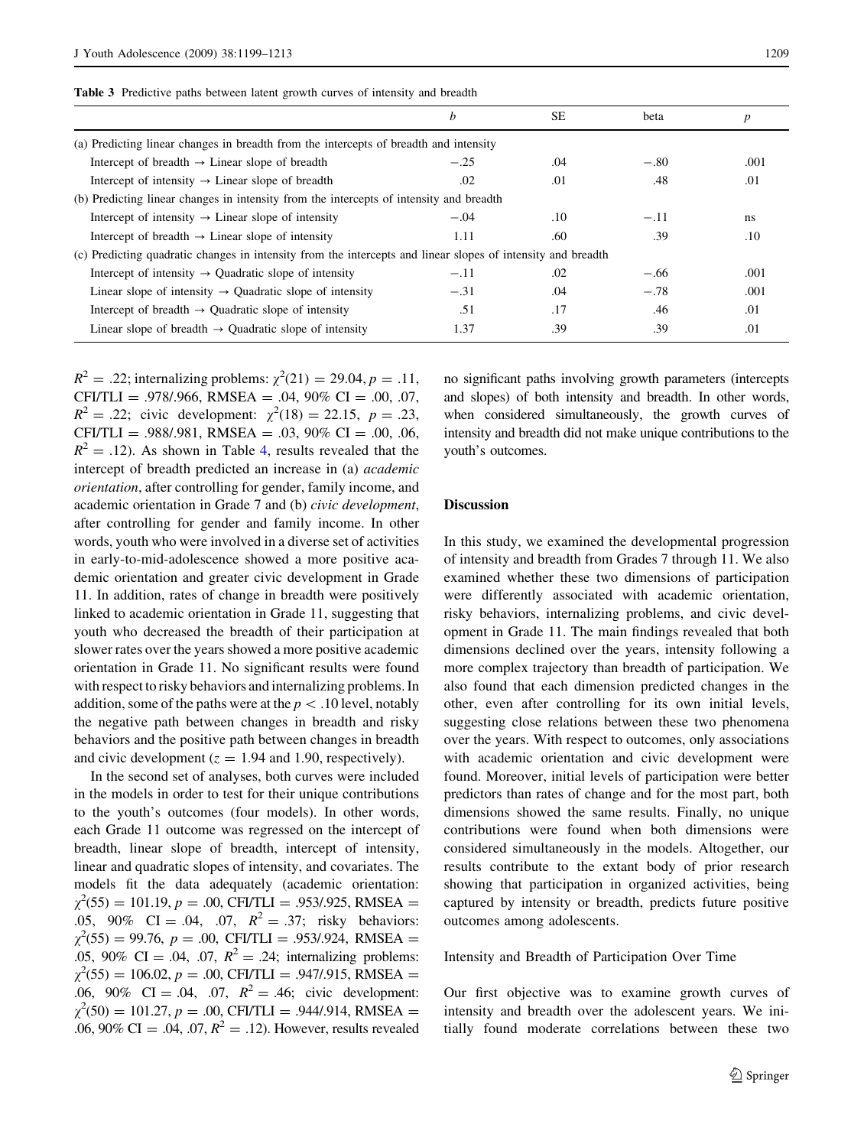|                                                                                                              | b      | SE  | beta   | $\boldsymbol{p}$ |
|--------------------------------------------------------------------------------------------------------------|--------|-----|--------|------------------|
| (a) Predicting linear changes in breadth from the intercepts of breadth and intensity                        |        |     |        |                  |
| Intercept of breadth $\rightarrow$ Linear slope of breadth                                                   | $-.25$ | .04 | $-.80$ | .001             |
| Intercept of intensity $\rightarrow$ Linear slope of breadth                                                 | .02    | .01 | .48    | .01              |
| (b) Predicting linear changes in intensity from the intercepts of intensity and breadth                      |        |     |        |                  |
| Intercept of intensity $\rightarrow$ Linear slope of intensity                                               | $-.04$ | .10 | $-.11$ | ns               |
| Intercept of breadth $\rightarrow$ Linear slope of intensity                                                 | 1.11   | .60 | .39    | $.10\,$          |
| (c) Predicting quadratic changes in intensity from the intercepts and linear slopes of intensity and breadth |        |     |        |                  |
| Intercept of intensity $\rightarrow$ Quadratic slope of intensity                                            | $-.11$ | .02 | $-.66$ | .001             |
| Linear slope of intensity $\rightarrow$ Quadratic slope of intensity                                         | $-.31$ | .04 | $-.78$ | .001             |
| Intercept of breadth $\rightarrow$ Quadratic slope of intensity                                              | .51    | .17 | .46    | .01              |
| Linear slope of breadth $\rightarrow$ Quadratic slope of intensity                                           | 1.37   | .39 | .39    | .01              |

<span id="page-10-0"></span>Table 3 Predictive paths between latent growth curves of intensity and breadth

 $R^2 = .22$ ; internalizing problems:  $\chi^2(21) = 29.04, p = .11,$ CFI/TLI =  $.978/0.966$ , RMSEA =  $.04$ ,  $90\%$  CI =  $.00$ ,  $.07$ ,  $R^2 = .22$ ; civic development:  $\chi^2(18) = 22.15$ ,  $p = .23$ , CFI/TLI =  $.988/.981$ , RMSEA =  $.03$ ,  $90\%$  CI =  $.00$ ,  $.06$ ,  $R^2 = .12$ ). As shown in Table [4](#page-13-0), results revealed that the intercept of breadth predicted an increase in (a) academic orientation, after controlling for gender, family income, and academic orientation in Grade 7 and (b) civic development, after controlling for gender and family income. In other words, youth who were involved in a diverse set of activities in early-to-mid-adolescence showed a more positive academic orientation and greater civic development in Grade 11. In addition, rates of change in breadth were positively linked to academic orientation in Grade 11, suggesting that youth who decreased the breadth of their participation at slower rates over the years showed a more positive academic orientation in Grade 11. No significant results were found with respect to risky behaviors and internalizing problems. In addition, some of the paths were at the  $p\lt 0.10$  level, notably the negative path between changes in breadth and risky behaviors and the positive path between changes in breadth and civic development ( $z = 1.94$  and 1.90, respectively).

In the second set of analyses, both curves were included in the models in order to test for their unique contributions to the youth's outcomes (four models). In other words, each Grade 11 outcome was regressed on the intercept of breadth, linear slope of breadth, intercept of intensity, linear and quadratic slopes of intensity, and covariates. The models fit the data adequately (academic orientation:  $\chi^2$ (55) = 101.19, p = .00, CFI/TLI = .953/.925, RMSEA = .05, 90% CI = .04, .07,  $R^2 = .37$ ; risky behaviors:  $\chi^2$ (55) = 99.76, p = .00, CFI/TLI = .953/.924, RMSEA = .05, 90% CI = .04, .07,  $R^2 = .24$ ; internalizing problems:  $\chi^2$ (55) = 106.02, p = .00, CFI/TLI = .947/.915, RMSEA = .06, 90% CI = .04, .07,  $R^2 = .46$ ; civic development:  $\chi^2$ (50) = 101.27, p = .00, CFI/TLI = .944/.914, RMSEA = .06, 90% CI = .04, .07,  $R^2 = .12$ ). However, results revealed no significant paths involving growth parameters (intercepts and slopes) of both intensity and breadth. In other words, when considered simultaneously, the growth curves of intensity and breadth did not make unique contributions to the youth's outcomes.

# Discussion

In this study, we examined the developmental progression of intensity and breadth from Grades 7 through 11. We also examined whether these two dimensions of participation were differently associated with academic orientation, risky behaviors, internalizing problems, and civic development in Grade 11. The main findings revealed that both dimensions declined over the years, intensity following a more complex trajectory than breadth of participation. We also found that each dimension predicted changes in the other, even after controlling for its own initial levels, suggesting close relations between these two phenomena over the years. With respect to outcomes, only associations with academic orientation and civic development were found. Moreover, initial levels of participation were better predictors than rates of change and for the most part, both dimensions showed the same results. Finally, no unique contributions were found when both dimensions were considered simultaneously in the models. Altogether, our results contribute to the extant body of prior research showing that participation in organized activities, being captured by intensity or breadth, predicts future positive outcomes among adolescents.

Intensity and Breadth of Participation Over Time

Our first objective was to examine growth curves of intensity and breadth over the adolescent years. We initially found moderate correlations between these two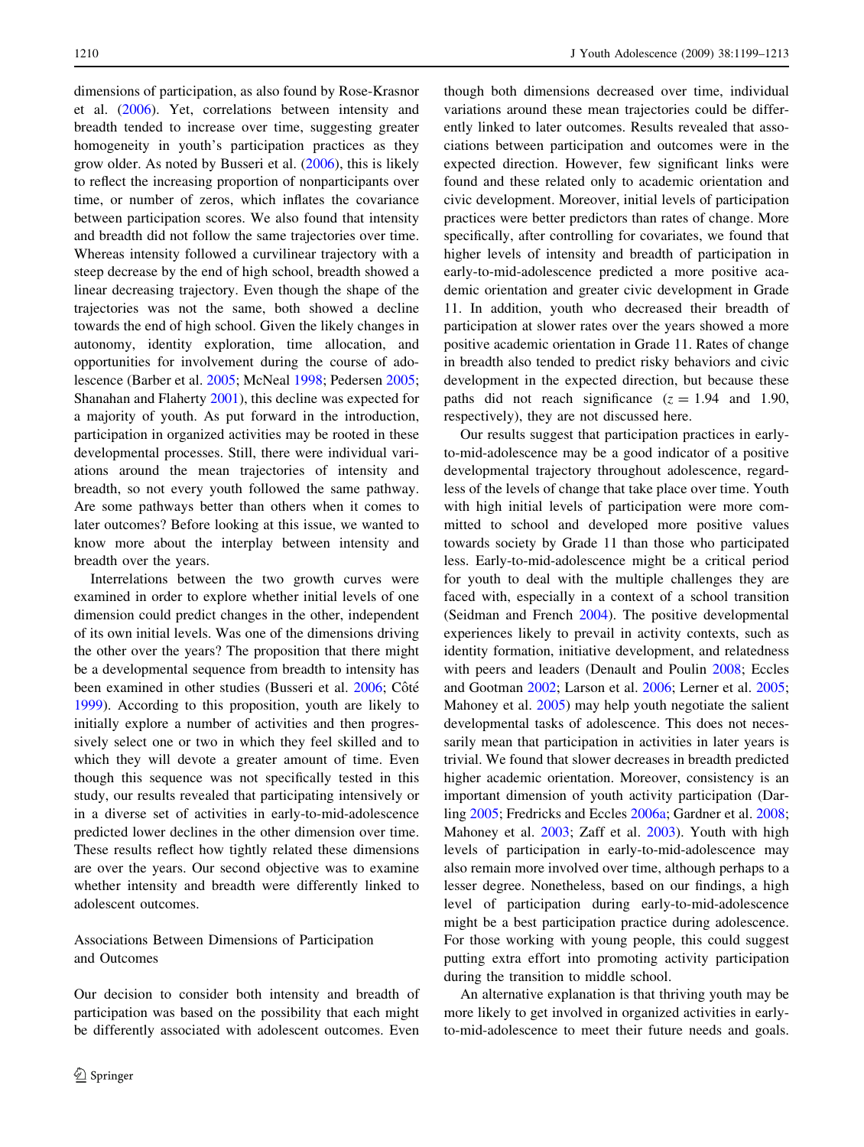dimensions of participation, as also found by Rose-Krasnor et al. [\(2006](#page-14-0)). Yet, correlations between intensity and breadth tended to increase over time, suggesting greater homogeneity in youth's participation practices as they grow older. As noted by Busseri et al. ([2006\)](#page-13-0), this is likely to reflect the increasing proportion of nonparticipants over time, or number of zeros, which inflates the covariance between participation scores. We also found that intensity and breadth did not follow the same trajectories over time. Whereas intensity followed a curvilinear trajectory with a steep decrease by the end of high school, breadth showed a linear decreasing trajectory. Even though the shape of the trajectories was not the same, both showed a decline towards the end of high school. Given the likely changes in autonomy, identity exploration, time allocation, and opportunities for involvement during the course of adolescence (Barber et al. [2005;](#page-13-0) McNeal [1998;](#page-14-0) Pedersen [2005](#page-14-0); Shanahan and Flaherty [2001\)](#page-14-0), this decline was expected for a majority of youth. As put forward in the introduction, participation in organized activities may be rooted in these developmental processes. Still, there were individual variations around the mean trajectories of intensity and breadth, so not every youth followed the same pathway. Are some pathways better than others when it comes to later outcomes? Before looking at this issue, we wanted to know more about the interplay between intensity and breadth over the years.

Interrelations between the two growth curves were examined in order to explore whether initial levels of one dimension could predict changes in the other, independent of its own initial levels. Was one of the dimensions driving the other over the years? The proposition that there might be a developmental sequence from breadth to intensity has been examined in other studies (Busseri et al. [2006;](#page-13-0) Côté [1999\)](#page-13-0). According to this proposition, youth are likely to initially explore a number of activities and then progressively select one or two in which they feel skilled and to which they will devote a greater amount of time. Even though this sequence was not specifically tested in this study, our results revealed that participating intensively or in a diverse set of activities in early-to-mid-adolescence predicted lower declines in the other dimension over time. These results reflect how tightly related these dimensions are over the years. Our second objective was to examine whether intensity and breadth were differently linked to adolescent outcomes.

Associations Between Dimensions of Participation and Outcomes

Our decision to consider both intensity and breadth of participation was based on the possibility that each might be differently associated with adolescent outcomes. Even

though both dimensions decreased over time, individual variations around these mean trajectories could be differently linked to later outcomes. Results revealed that associations between participation and outcomes were in the expected direction. However, few significant links were found and these related only to academic orientation and civic development. Moreover, initial levels of participation practices were better predictors than rates of change. More specifically, after controlling for covariates, we found that higher levels of intensity and breadth of participation in early-to-mid-adolescence predicted a more positive academic orientation and greater civic development in Grade 11. In addition, youth who decreased their breadth of participation at slower rates over the years showed a more positive academic orientation in Grade 11. Rates of change in breadth also tended to predict risky behaviors and civic development in the expected direction, but because these paths did not reach significance  $(z = 1.94$  and 1.90, respectively), they are not discussed here.

Our results suggest that participation practices in earlyto-mid-adolescence may be a good indicator of a positive developmental trajectory throughout adolescence, regardless of the levels of change that take place over time. Youth with high initial levels of participation were more committed to school and developed more positive values towards society by Grade 11 than those who participated less. Early-to-mid-adolescence might be a critical period for youth to deal with the multiple challenges they are faced with, especially in a context of a school transition (Seidman and French [2004](#page-14-0)). The positive developmental experiences likely to prevail in activity contexts, such as identity formation, initiative development, and relatedness with peers and leaders (Denault and Poulin [2008](#page-13-0); Eccles and Gootman [2002;](#page-14-0) Larson et al. [2006](#page-14-0); Lerner et al. [2005](#page-14-0); Mahoney et al. [2005](#page-14-0)) may help youth negotiate the salient developmental tasks of adolescence. This does not necessarily mean that participation in activities in later years is trivial. We found that slower decreases in breadth predicted higher academic orientation. Moreover, consistency is an important dimension of youth activity participation (Darling [2005](#page-13-0); Fredricks and Eccles [2006a](#page-14-0); Gardner et al. [2008](#page-14-0); Mahoney et al. [2003;](#page-14-0) Zaff et al. [2003\)](#page-14-0). Youth with high levels of participation in early-to-mid-adolescence may also remain more involved over time, although perhaps to a lesser degree. Nonetheless, based on our findings, a high level of participation during early-to-mid-adolescence might be a best participation practice during adolescence. For those working with young people, this could suggest putting extra effort into promoting activity participation during the transition to middle school.

An alternative explanation is that thriving youth may be more likely to get involved in organized activities in earlyto-mid-adolescence to meet their future needs and goals.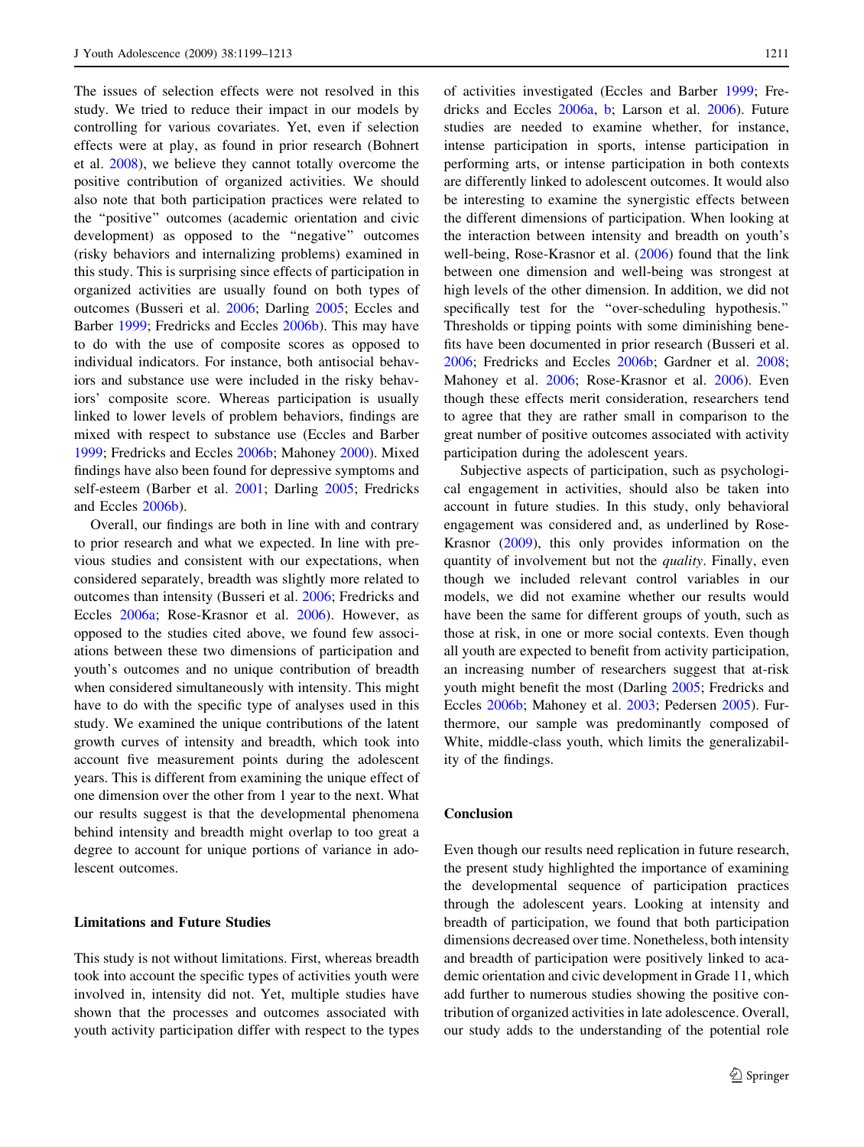The issues of selection effects were not resolved in this study. We tried to reduce their impact in our models by controlling for various covariates. Yet, even if selection effects were at play, as found in prior research (Bohnert et al. [2008](#page-13-0)), we believe they cannot totally overcome the positive contribution of organized activities. We should also note that both participation practices were related to the ''positive'' outcomes (academic orientation and civic development) as opposed to the ''negative'' outcomes (risky behaviors and internalizing problems) examined in this study. This is surprising since effects of participation in organized activities are usually found on both types of outcomes (Busseri et al. [2006](#page-13-0); Darling [2005](#page-13-0); Eccles and Barber [1999](#page-14-0); Fredricks and Eccles [2006b\)](#page-14-0). This may have to do with the use of composite scores as opposed to individual indicators. For instance, both antisocial behaviors and substance use were included in the risky behaviors' composite score. Whereas participation is usually linked to lower levels of problem behaviors, findings are mixed with respect to substance use (Eccles and Barber [1999;](#page-14-0) Fredricks and Eccles [2006b](#page-14-0); Mahoney [2000](#page-14-0)). Mixed findings have also been found for depressive symptoms and self-esteem (Barber et al. [2001;](#page-13-0) Darling [2005](#page-13-0); Fredricks and Eccles [2006b](#page-14-0)).

Overall, our findings are both in line with and contrary to prior research and what we expected. In line with previous studies and consistent with our expectations, when considered separately, breadth was slightly more related to outcomes than intensity (Busseri et al. [2006](#page-13-0); Fredricks and Eccles [2006a](#page-14-0); Rose-Krasnor et al. [2006\)](#page-14-0). However, as opposed to the studies cited above, we found few associations between these two dimensions of participation and youth's outcomes and no unique contribution of breadth when considered simultaneously with intensity. This might have to do with the specific type of analyses used in this study. We examined the unique contributions of the latent growth curves of intensity and breadth, which took into account five measurement points during the adolescent years. This is different from examining the unique effect of one dimension over the other from 1 year to the next. What our results suggest is that the developmental phenomena behind intensity and breadth might overlap to too great a degree to account for unique portions of variance in adolescent outcomes.

#### Limitations and Future Studies

This study is not without limitations. First, whereas breadth took into account the specific types of activities youth were involved in, intensity did not. Yet, multiple studies have shown that the processes and outcomes associated with youth activity participation differ with respect to the types of activities investigated (Eccles and Barber [1999;](#page-14-0) Fredricks and Eccles [2006a,](#page-14-0) [b;](#page-14-0) Larson et al. [2006\)](#page-14-0). Future studies are needed to examine whether, for instance, intense participation in sports, intense participation in performing arts, or intense participation in both contexts are differently linked to adolescent outcomes. It would also be interesting to examine the synergistic effects between the different dimensions of participation. When looking at the interaction between intensity and breadth on youth's well-being, Rose-Krasnor et al. ([2006\)](#page-14-0) found that the link between one dimension and well-being was strongest at high levels of the other dimension. In addition, we did not specifically test for the ''over-scheduling hypothesis.'' Thresholds or tipping points with some diminishing benefits have been documented in prior research (Busseri et al. [2006](#page-13-0); Fredricks and Eccles [2006b;](#page-14-0) Gardner et al. [2008](#page-14-0); Mahoney et al. [2006;](#page-14-0) Rose-Krasnor et al. [2006\)](#page-14-0). Even though these effects merit consideration, researchers tend to agree that they are rather small in comparison to the great number of positive outcomes associated with activity participation during the adolescent years.

Subjective aspects of participation, such as psychological engagement in activities, should also be taken into account in future studies. In this study, only behavioral engagement was considered and, as underlined by Rose-Krasnor [\(2009](#page-14-0)), this only provides information on the quantity of involvement but not the quality. Finally, even though we included relevant control variables in our models, we did not examine whether our results would have been the same for different groups of youth, such as those at risk, in one or more social contexts. Even though all youth are expected to benefit from activity participation, an increasing number of researchers suggest that at-risk youth might benefit the most (Darling [2005](#page-13-0); Fredricks and Eccles [2006b;](#page-14-0) Mahoney et al. [2003](#page-14-0); Pedersen [2005\)](#page-14-0). Furthermore, our sample was predominantly composed of White, middle-class youth, which limits the generalizability of the findings.

#### Conclusion

Even though our results need replication in future research, the present study highlighted the importance of examining the developmental sequence of participation practices through the adolescent years. Looking at intensity and breadth of participation, we found that both participation dimensions decreased over time. Nonetheless, both intensity and breadth of participation were positively linked to academic orientation and civic development in Grade 11, which add further to numerous studies showing the positive contribution of organized activities in late adolescence. Overall, our study adds to the understanding of the potential role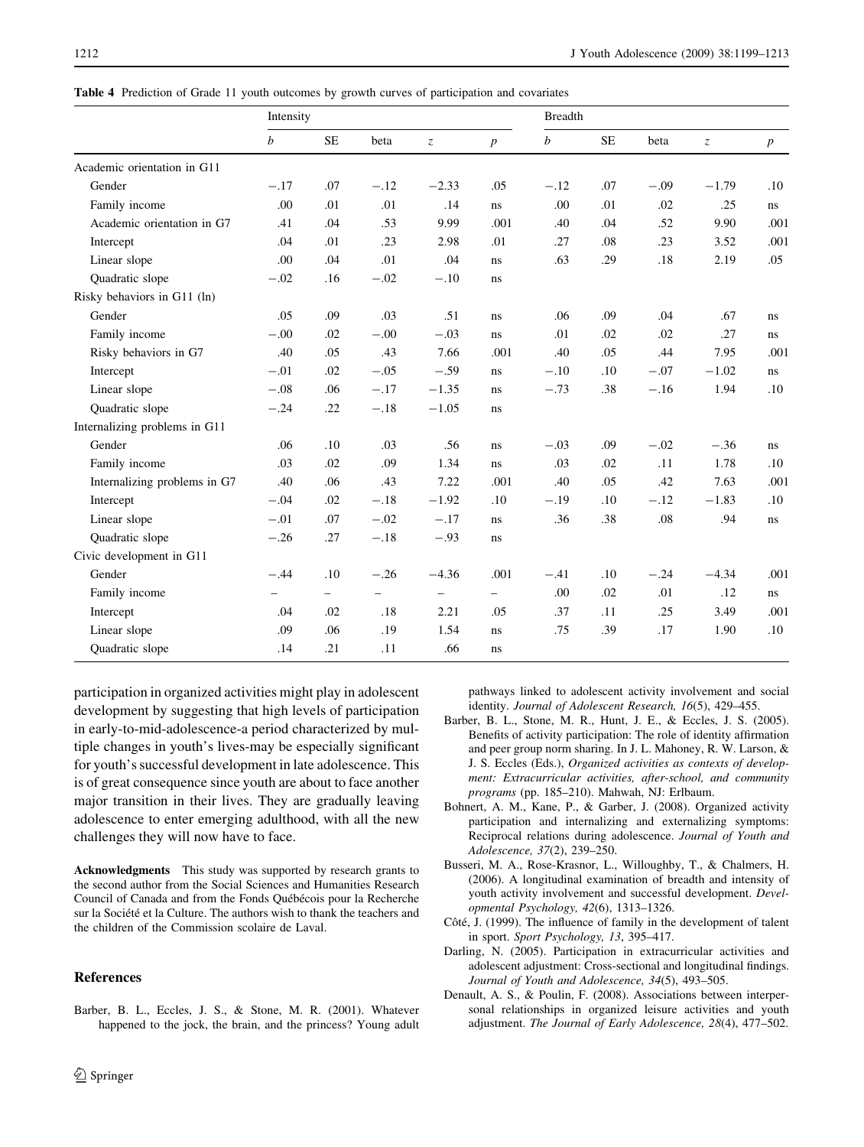<span id="page-13-0"></span>Table 4 Prediction of Grade 11 youth outcomes by growth curves of participation and covariates

|                               | Intensity                |                          |                          |                               |                  | <b>Breadth</b>   |           |        |                               |                  |
|-------------------------------|--------------------------|--------------------------|--------------------------|-------------------------------|------------------|------------------|-----------|--------|-------------------------------|------------------|
|                               | $\boldsymbol{b}$         | <b>SE</b>                | beta                     | $\ensuremath{\mathnormal{Z}}$ | $\boldsymbol{p}$ | $\boldsymbol{b}$ | <b>SE</b> | beta   | $\ensuremath{\mathnormal{Z}}$ | $\boldsymbol{p}$ |
| Academic orientation in G11   |                          |                          |                          |                               |                  |                  |           |        |                               |                  |
| Gender                        | $-.17$                   | .07                      | $-.12$                   | $-2.33$                       | .05              | $-.12$           | .07       | $-.09$ | $-1.79$                       | .10              |
| Family income                 | .00                      | .01                      | .01                      | .14                           | ns               | .00              | .01       | .02    | .25                           | ns               |
| Academic orientation in G7    | .41                      | .04                      | .53                      | 9.99                          | .001             | .40              | .04       | .52    | 9.90                          | .001             |
| Intercept                     | .04                      | .01                      | .23                      | 2.98                          | .01              | .27              | .08       | .23    | 3.52                          | .001             |
| Linear slope                  | .00                      | .04                      | .01                      | .04                           | ns               | .63              | .29       | .18    | 2.19                          | .05              |
| Quadratic slope               | $-.02$                   | .16                      | $-.02$                   | $-.10$                        | ns               |                  |           |        |                               |                  |
| Risky behaviors in G11 (ln)   |                          |                          |                          |                               |                  |                  |           |        |                               |                  |
| Gender                        | .05                      | .09                      | .03                      | .51                           | ns               | .06              | .09       | .04    | .67                           | ns.              |
| Family income                 | $-.00$                   | .02                      | $-.00$                   | $-.03$                        | ns               | .01              | .02       | .02    | .27                           | ns               |
| Risky behaviors in G7         | .40                      | .05                      | .43                      | 7.66                          | .001             | .40              | .05       | .44    | 7.95                          | .001             |
| Intercept                     | $-.01$                   | .02                      | $-.05$                   | $-.59$                        | ns               | $-.10$           | .10       | $-.07$ | $-1.02$                       | ns               |
| Linear slope                  | $-.08$                   | .06                      | $-.17$                   | $-1.35$                       | ns               | $-.73$           | .38       | $-.16$ | 1.94                          | .10              |
| Quadratic slope               | $-.24$                   | .22                      | $-.18$                   | $-1.05$                       | ns               |                  |           |        |                               |                  |
| Internalizing problems in G11 |                          |                          |                          |                               |                  |                  |           |        |                               |                  |
| Gender                        | .06                      | .10                      | .03                      | .56                           | ns               | $-.03$           | .09       | $-.02$ | $-.36$                        | ns.              |
| Family income                 | .03                      | .02                      | .09                      | 1.34                          | ns               | .03              | .02       | .11    | 1.78                          | .10              |
| Internalizing problems in G7  | .40                      | .06                      | .43                      | 7.22                          | .001             | .40              | .05       | .42    | 7.63                          | .001             |
| Intercept                     | $-.04$                   | .02                      | $-.18$                   | $-1.92$                       | .10              | $-.19$           | .10       | $-.12$ | $-1.83$                       | .10              |
| Linear slope                  | $-.01$                   | .07                      | $-.02$                   | $-.17$                        | ns               | .36              | .38       | .08    | .94                           | ns               |
| Quadratic slope               | $-.26$                   | .27                      | $-.18$                   | $-.93$                        | ns               |                  |           |        |                               |                  |
| Civic development in G11      |                          |                          |                          |                               |                  |                  |           |        |                               |                  |
| Gender                        | $-.44$                   | .10                      | $-.26$                   | $-4.36$                       | .001             | $-.41$           | .10       | $-.24$ | $-4.34$                       | .001             |
| Family income                 | $\overline{\phantom{0}}$ | $\overline{\phantom{a}}$ | $\overline{\phantom{m}}$ | $\overline{\phantom{0}}$      | ÷.               | .00              | .02       | .01    | .12                           | ns               |
| Intercept                     | .04                      | .02                      | .18                      | 2.21                          | .05              | .37              | .11       | .25    | 3.49                          | .001             |
| Linear slope                  | .09                      | .06                      | .19                      | 1.54                          | ns               | .75              | .39       | .17    | 1.90                          | .10              |
| Quadratic slope               | .14                      | .21                      | .11                      | .66                           | ns               |                  |           |        |                               |                  |

participation in organized activities might play in adolescent development by suggesting that high levels of participation in early-to-mid-adolescence-a period characterized by multiple changes in youth's lives-may be especially significant for youth's successful development in late adolescence. This is of great consequence since youth are about to face another major transition in their lives. They are gradually leaving adolescence to enter emerging adulthood, with all the new challenges they will now have to face.

Acknowledgments This study was supported by research grants to the second author from the Social Sciences and Humanities Research Council of Canada and from the Fonds Québécois pour la Recherche sur la Société et la Culture. The authors wish to thank the teachers and the children of the Commission scolaire de Laval.

#### References

Barber, B. L., Eccles, J. S., & Stone, M. R. (2001). Whatever happened to the jock, the brain, and the princess? Young adult pathways linked to adolescent activity involvement and social identity. Journal of Adolescent Research, 16(5), 429–455.

- Barber, B. L., Stone, M. R., Hunt, J. E., & Eccles, J. S. (2005). Benefits of activity participation: The role of identity affirmation and peer group norm sharing. In J. L. Mahoney, R. W. Larson, & J. S. Eccles (Eds.), Organized activities as contexts of development: Extracurricular activities, after-school, and community programs (pp. 185–210). Mahwah, NJ: Erlbaum.
- Bohnert, A. M., Kane, P., & Garber, J. (2008). Organized activity participation and internalizing and externalizing symptoms: Reciprocal relations during adolescence. Journal of Youth and Adolescence, 37(2), 239–250.
- Busseri, M. A., Rose-Krasnor, L., Willoughby, T., & Chalmers, H. (2006). A longitudinal examination of breadth and intensity of youth activity involvement and successful development. Developmental Psychology, 42(6), 1313–1326.
- Côté, J. (1999). The influence of family in the development of talent in sport. Sport Psychology, 13, 395–417.
- Darling, N. (2005). Participation in extracurricular activities and adolescent adjustment: Cross-sectional and longitudinal findings. Journal of Youth and Adolescence, 34(5), 493–505.
- Denault, A. S., & Poulin, F. (2008). Associations between interpersonal relationships in organized leisure activities and youth adjustment. The Journal of Early Adolescence, 28(4), 477–502.